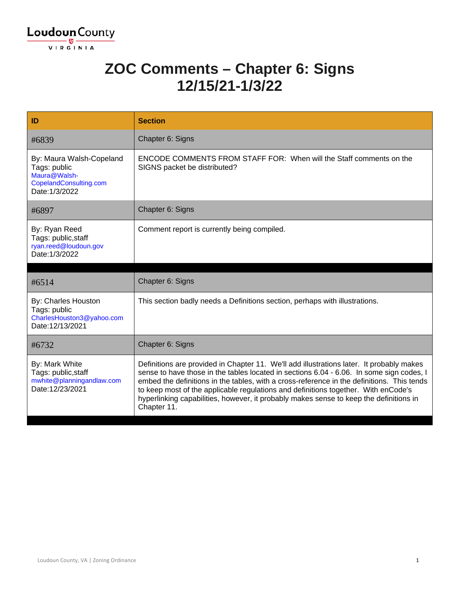

#### **ZOC Comments – Chapter 6: Signs 12/15/21-1/3/22**

| ID                                                                                                   | <b>Section</b>                                                                                                                                                                                                                                                                                                                                                                                                                                                                    |
|------------------------------------------------------------------------------------------------------|-----------------------------------------------------------------------------------------------------------------------------------------------------------------------------------------------------------------------------------------------------------------------------------------------------------------------------------------------------------------------------------------------------------------------------------------------------------------------------------|
| #6839                                                                                                | Chapter 6: Signs                                                                                                                                                                                                                                                                                                                                                                                                                                                                  |
| By: Maura Walsh-Copeland<br>Tags: public<br>Maura@Walsh-<br>CopelandConsulting.com<br>Date: 1/3/2022 | <b>ENCODE COMMENTS FROM STAFF FOR: When will the Staff comments on the</b><br>SIGNS packet be distributed?                                                                                                                                                                                                                                                                                                                                                                        |
| #6897                                                                                                | Chapter 6: Signs                                                                                                                                                                                                                                                                                                                                                                                                                                                                  |
| By: Ryan Reed<br>Tags: public, staff<br>ryan.reed@loudoun.gov<br>Date: 1/3/2022                      | Comment report is currently being compiled.                                                                                                                                                                                                                                                                                                                                                                                                                                       |
|                                                                                                      |                                                                                                                                                                                                                                                                                                                                                                                                                                                                                   |
| #6514                                                                                                | Chapter 6: Signs                                                                                                                                                                                                                                                                                                                                                                                                                                                                  |
| By: Charles Houston<br>Tags: public<br>CharlesHouston3@yahoo.com<br>Date:12/13/2021                  | This section badly needs a Definitions section, perhaps with illustrations.                                                                                                                                                                                                                                                                                                                                                                                                       |
| #6732                                                                                                | Chapter 6: Signs                                                                                                                                                                                                                                                                                                                                                                                                                                                                  |
| By: Mark White<br>Tags: public, staff<br>mwhite@planningandlaw.com<br>Date:12/23/2021                | Definitions are provided in Chapter 11. We'll add illustrations later. It probably makes<br>sense to have those in the tables located in sections 6.04 - 6.06. In some sign codes, I<br>embed the definitions in the tables, with a cross-reference in the definitions. This tends<br>to keep most of the applicable regulations and definitions together. With enCode's<br>hyperlinking capabilities, however, it probably makes sense to keep the definitions in<br>Chapter 11. |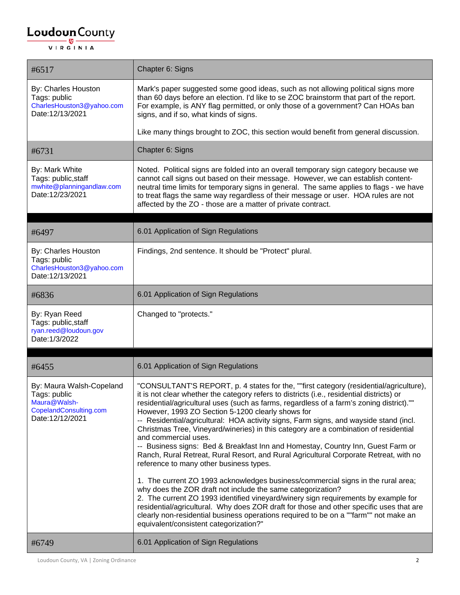#### $\underbrace{\textbf{Loudoun}\xspace}_{\text{VIR GINIA}}$

| #6517                                                                                                 | Chapter 6: Signs                                                                                                                                                                                                                                                                                                                                                                                                                                                                                                                                                                                                                                                                                                                                                                                                                                                                                                                                                                                                                                                                                                                                                                                                                           |
|-------------------------------------------------------------------------------------------------------|--------------------------------------------------------------------------------------------------------------------------------------------------------------------------------------------------------------------------------------------------------------------------------------------------------------------------------------------------------------------------------------------------------------------------------------------------------------------------------------------------------------------------------------------------------------------------------------------------------------------------------------------------------------------------------------------------------------------------------------------------------------------------------------------------------------------------------------------------------------------------------------------------------------------------------------------------------------------------------------------------------------------------------------------------------------------------------------------------------------------------------------------------------------------------------------------------------------------------------------------|
| By: Charles Houston<br>Tags: public<br>CharlesHouston3@yahoo.com<br>Date:12/13/2021                   | Mark's paper suggested some good ideas, such as not allowing political signs more<br>than 60 days before an election. I'd like to se ZOC brainstorm that part of the report.<br>For example, is ANY flag permitted, or only those of a government? Can HOAs ban<br>signs, and if so, what kinds of signs.                                                                                                                                                                                                                                                                                                                                                                                                                                                                                                                                                                                                                                                                                                                                                                                                                                                                                                                                  |
|                                                                                                       | Like many things brought to ZOC, this section would benefit from general discussion.                                                                                                                                                                                                                                                                                                                                                                                                                                                                                                                                                                                                                                                                                                                                                                                                                                                                                                                                                                                                                                                                                                                                                       |
| #6731                                                                                                 | Chapter 6: Signs                                                                                                                                                                                                                                                                                                                                                                                                                                                                                                                                                                                                                                                                                                                                                                                                                                                                                                                                                                                                                                                                                                                                                                                                                           |
| By: Mark White<br>Tags: public, staff<br>mwhite@planningandlaw.com<br>Date:12/23/2021                 | Noted. Political signs are folded into an overall temporary sign category because we<br>cannot call signs out based on their message. However, we can establish content-<br>neutral time limits for temporary signs in general. The same applies to flags - we have<br>to treat flags the same way regardless of their message or user. HOA rules are not<br>affected by the ZO - those are a matter of private contract.                                                                                                                                                                                                                                                                                                                                                                                                                                                                                                                                                                                                                                                                                                                                                                                                                  |
| #6497                                                                                                 | 6.01 Application of Sign Regulations                                                                                                                                                                                                                                                                                                                                                                                                                                                                                                                                                                                                                                                                                                                                                                                                                                                                                                                                                                                                                                                                                                                                                                                                       |
| By: Charles Houston<br>Tags: public<br>CharlesHouston3@yahoo.com<br>Date:12/13/2021                   | Findings, 2nd sentence. It should be "Protect" plural.                                                                                                                                                                                                                                                                                                                                                                                                                                                                                                                                                                                                                                                                                                                                                                                                                                                                                                                                                                                                                                                                                                                                                                                     |
| #6836                                                                                                 | 6.01 Application of Sign Regulations                                                                                                                                                                                                                                                                                                                                                                                                                                                                                                                                                                                                                                                                                                                                                                                                                                                                                                                                                                                                                                                                                                                                                                                                       |
| By: Ryan Reed<br>Tags: public, staff<br>ryan.reed@loudoun.gov<br>Date: 1/3/2022                       | Changed to "protects."                                                                                                                                                                                                                                                                                                                                                                                                                                                                                                                                                                                                                                                                                                                                                                                                                                                                                                                                                                                                                                                                                                                                                                                                                     |
| #6455                                                                                                 | 6.01 Application of Sign Regulations                                                                                                                                                                                                                                                                                                                                                                                                                                                                                                                                                                                                                                                                                                                                                                                                                                                                                                                                                                                                                                                                                                                                                                                                       |
| By: Maura Walsh-Copeland<br>Tags: public<br>Maura@Walsh-<br>CopelandConsulting.com<br>Date:12/12/2021 | "CONSULTANT'S REPORT, p. 4 states for the, ""first category (residential/agriculture),<br>it is not clear whether the category refers to districts (i.e., residential districts) or<br>residential/agricultural uses (such as farms, regardless of a farm's zoning district).""<br>However, 1993 ZO Section 5-1200 clearly shows for<br>-- Residential/agricultural: HOA activity signs, Farm signs, and wayside stand (incl.<br>Christmas Tree, Vineyard/wineries) in this category are a combination of residential<br>and commercial uses.<br>-- Business signs: Bed & Breakfast Inn and Homestay, Country Inn, Guest Farm or<br>Ranch, Rural Retreat, Rural Resort, and Rural Agricultural Corporate Retreat, with no<br>reference to many other business types.<br>1. The current ZO 1993 acknowledges business/commercial signs in the rural area;<br>why does the ZOR draft not include the same categorization?<br>2. The current ZO 1993 identified vineyard/winery sign requirements by example for<br>residential/agricultural. Why does ZOR draft for those and other specific uses that are<br>clearly non-residential business operations required to be on a ""farm"" not make an<br>equivalent/consistent categorization?" |
| #6749                                                                                                 | 6.01 Application of Sign Regulations                                                                                                                                                                                                                                                                                                                                                                                                                                                                                                                                                                                                                                                                                                                                                                                                                                                                                                                                                                                                                                                                                                                                                                                                       |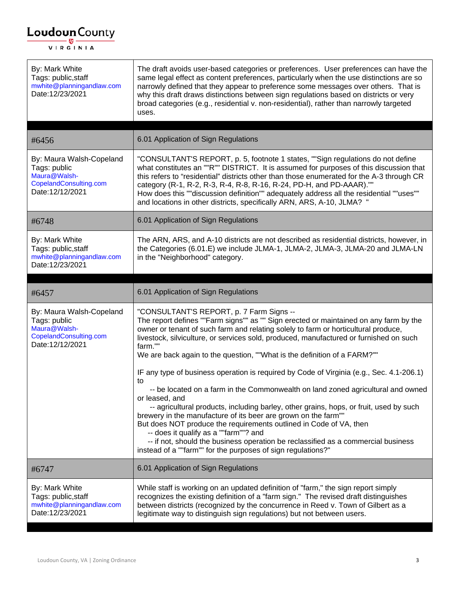| By: Mark White<br>Tags: public, staff<br>mwhite@planningandlaw.com<br>Date:12/23/2021                 | The draft avoids user-based categories or preferences. User preferences can have the<br>same legal effect as content preferences, particularly when the use distinctions are so<br>narrowly defined that they appear to preference some messages over others. That is<br>why this draft draws distinctions between sign regulations based on districts or very<br>broad categories (e.g., residential v. non-residential), rather than narrowly targeted<br>uses.                                                                                                                                                                                                                                                                                                                                                                                                                                                                                                                                                                                |
|-------------------------------------------------------------------------------------------------------|--------------------------------------------------------------------------------------------------------------------------------------------------------------------------------------------------------------------------------------------------------------------------------------------------------------------------------------------------------------------------------------------------------------------------------------------------------------------------------------------------------------------------------------------------------------------------------------------------------------------------------------------------------------------------------------------------------------------------------------------------------------------------------------------------------------------------------------------------------------------------------------------------------------------------------------------------------------------------------------------------------------------------------------------------|
| #6456                                                                                                 | 6.01 Application of Sign Regulations                                                                                                                                                                                                                                                                                                                                                                                                                                                                                                                                                                                                                                                                                                                                                                                                                                                                                                                                                                                                             |
| By: Maura Walsh-Copeland<br>Tags: public<br>Maura@Walsh-<br>CopelandConsulting.com<br>Date:12/12/2021 | "CONSULTANT'S REPORT, p. 5, footnote 1 states, ""Sign regulations do not define<br>what constitutes an ""R"" DISTRICT. It is assumed for purposes of this discussion that<br>this refers to "residential" districts other than those enumerated for the A-3 through CR<br>category (R-1, R-2, R-3, R-4, R-8, R-16, R-24, PD-H, and PD-AAAR).""<br>How does this ""discussion definition"" adequately address all the residential ""uses""<br>and locations in other districts, specifically ARN, ARS, A-10, JLMA? "                                                                                                                                                                                                                                                                                                                                                                                                                                                                                                                              |
| #6748                                                                                                 | 6.01 Application of Sign Regulations                                                                                                                                                                                                                                                                                                                                                                                                                                                                                                                                                                                                                                                                                                                                                                                                                                                                                                                                                                                                             |
| By: Mark White<br>Tags: public, staff<br>mwhite@planningandlaw.com<br>Date:12/23/2021                 | The ARN, ARS, and A-10 districts are not described as residential districts, however, in<br>the Categories (6.01.E) we include JLMA-1, JLMA-2, JLMA-3, JLMA-20 and JLMA-LN<br>in the "Neighborhood" category.                                                                                                                                                                                                                                                                                                                                                                                                                                                                                                                                                                                                                                                                                                                                                                                                                                    |
| #6457                                                                                                 | 6.01 Application of Sign Regulations                                                                                                                                                                                                                                                                                                                                                                                                                                                                                                                                                                                                                                                                                                                                                                                                                                                                                                                                                                                                             |
| By: Maura Walsh-Copeland<br>Tags: public<br>Maura@Walsh-<br>CopelandConsulting.com<br>Date:12/12/2021 | "CONSULTANT'S REPORT, p. 7 Farm Signs --<br>The report defines ""Farm signs"" as "" Sign erected or maintained on any farm by the<br>owner or tenant of such farm and relating solely to farm or horticultural produce,<br>livestock, silviculture, or services sold, produced, manufactured or furnished on such<br>farm.""<br>We are back again to the question, ""What is the definition of a FARM?""<br>IF any type of business operation is required by Code of Virginia (e.g., Sec. 4.1-206.1)<br>to<br>-- be located on a farm in the Commonwealth on land zoned agricultural and owned<br>or leased, and<br>-- agricultural products, including barley, other grains, hops, or fruit, used by such<br>brewery in the manufacture of its beer are grown on the farm""<br>But does NOT produce the requirements outlined in Code of VA, then<br>-- does it qualify as a ""farm""? and<br>-- if not, should the business operation be reclassified as a commercial business<br>instead of a ""farm"" for the purposes of sign regulations?" |
| #6747                                                                                                 | 6.01 Application of Sign Regulations                                                                                                                                                                                                                                                                                                                                                                                                                                                                                                                                                                                                                                                                                                                                                                                                                                                                                                                                                                                                             |
| By: Mark White<br>Tags: public, staff<br>mwhite@planningandlaw.com<br>Date:12/23/2021                 | While staff is working on an updated definition of "farm," the sign report simply<br>recognizes the existing definition of a "farm sign." The revised draft distinguishes<br>between districts (recognized by the concurrence in Reed v. Town of Gilbert as a<br>legitimate way to distinguish sign regulations) but not between users.                                                                                                                                                                                                                                                                                                                                                                                                                                                                                                                                                                                                                                                                                                          |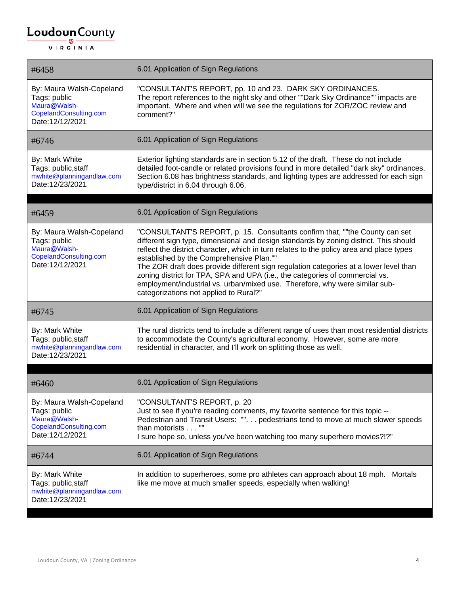| #6458                                                                                                 | 6.01 Application of Sign Regulations                                                                                                                                                                                                                                                                                                                                                                                                                                                                                                                                                                           |
|-------------------------------------------------------------------------------------------------------|----------------------------------------------------------------------------------------------------------------------------------------------------------------------------------------------------------------------------------------------------------------------------------------------------------------------------------------------------------------------------------------------------------------------------------------------------------------------------------------------------------------------------------------------------------------------------------------------------------------|
| By: Maura Walsh-Copeland<br>Tags: public<br>Maura@Walsh-<br>CopelandConsulting.com<br>Date:12/12/2021 | "CONSULTANT'S REPORT, pp. 10 and 23. DARK SKY ORDINANCES.<br>The report references to the night sky and other ""Dark Sky Ordinance"" impacts are<br>important. Where and when will we see the regulations for ZOR/ZOC review and<br>comment?"                                                                                                                                                                                                                                                                                                                                                                  |
| #6746                                                                                                 | 6.01 Application of Sign Regulations                                                                                                                                                                                                                                                                                                                                                                                                                                                                                                                                                                           |
| By: Mark White<br>Tags: public, staff<br>mwhite@planningandlaw.com<br>Date:12/23/2021                 | Exterior lighting standards are in section 5.12 of the draft. These do not include<br>detailed foot-candle or related provisions found in more detailed "dark sky" ordinances.<br>Section 6.08 has brightness standards, and lighting types are addressed for each sign<br>type/district in 6.04 through 6.06.                                                                                                                                                                                                                                                                                                 |
| #6459                                                                                                 | 6.01 Application of Sign Regulations                                                                                                                                                                                                                                                                                                                                                                                                                                                                                                                                                                           |
| By: Maura Walsh-Copeland<br>Tags: public<br>Maura@Walsh-<br>CopelandConsulting.com<br>Date:12/12/2021 | "CONSULTANT'S REPORT, p. 15. Consultants confirm that, ""the County can set<br>different sign type, dimensional and design standards by zoning district. This should<br>reflect the district character, which in turn relates to the policy area and place types<br>established by the Comprehensive Plan.""<br>The ZOR draft does provide different sign regulation categories at a lower level than<br>zoning district for TPA, SPA and UPA (i.e., the categories of commercial vs.<br>employment/industrial vs. urban/mixed use. Therefore, why were similar sub-<br>categorizations not applied to Rural?" |
| #6745                                                                                                 | 6.01 Application of Sign Regulations                                                                                                                                                                                                                                                                                                                                                                                                                                                                                                                                                                           |
| By: Mark White<br>Tags: public, staff<br>mwhite@planningandlaw.com<br>Date:12/23/2021                 | The rural districts tend to include a different range of uses than most residential districts<br>to accommodate the County's agricultural economy. However, some are more<br>residential in character, and I'll work on splitting those as well.                                                                                                                                                                                                                                                                                                                                                               |
| #6460                                                                                                 | 6.01 Application of Sign Regulations                                                                                                                                                                                                                                                                                                                                                                                                                                                                                                                                                                           |
| By: Maura Walsh-Copeland<br>Tags: public<br>Maura@Walsh-<br>CopelandConsulting.com<br>Date:12/12/2021 | "CONSULTANT'S REPORT, p. 20<br>Just to see if you're reading comments, my favorite sentence for this topic --<br>Pedestrian and Transit Users: "". pedestrians tend to move at much slower speeds<br>than motorists ""<br>I sure hope so, unless you've been watching too many superhero movies?!?"                                                                                                                                                                                                                                                                                                            |
| #6744                                                                                                 | 6.01 Application of Sign Regulations                                                                                                                                                                                                                                                                                                                                                                                                                                                                                                                                                                           |
| By: Mark White<br>Tags: public, staff<br>mwhite@planningandlaw.com<br>Date:12/23/2021                 | In addition to superheroes, some pro athletes can approach about 18 mph. Mortals<br>like me move at much smaller speeds, especially when walking!                                                                                                                                                                                                                                                                                                                                                                                                                                                              |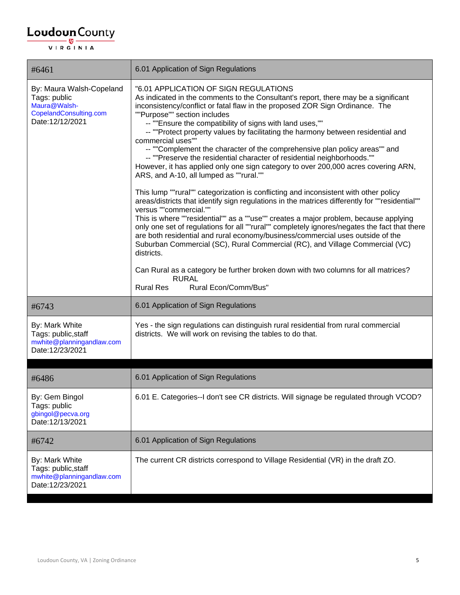| #6461                                                                                                 | 6.01 Application of Sign Regulations                                                                                                                                                                                                                                                                                                                                                                                                                                                                                                                                                                                                                                                                                                                                                                                                                                                                                                                                                                                                                                                                                                                                                                                                                                                                                                                                                                                                                     |
|-------------------------------------------------------------------------------------------------------|----------------------------------------------------------------------------------------------------------------------------------------------------------------------------------------------------------------------------------------------------------------------------------------------------------------------------------------------------------------------------------------------------------------------------------------------------------------------------------------------------------------------------------------------------------------------------------------------------------------------------------------------------------------------------------------------------------------------------------------------------------------------------------------------------------------------------------------------------------------------------------------------------------------------------------------------------------------------------------------------------------------------------------------------------------------------------------------------------------------------------------------------------------------------------------------------------------------------------------------------------------------------------------------------------------------------------------------------------------------------------------------------------------------------------------------------------------|
| By: Maura Walsh-Copeland<br>Tags: public<br>Maura@Walsh-<br>CopelandConsulting.com<br>Date:12/12/2021 | "6.01 APPLICATION OF SIGN REGULATIONS<br>As indicated in the comments to the Consultant's report, there may be a significant<br>inconsistency/conflict or fatal flaw in the proposed ZOR Sign Ordinance. The<br>""Purpose"" section includes<br>-- ""Ensure the compatibility of signs with land uses,""<br>-- ""Protect property values by facilitating the harmony between residential and<br>commercial uses""<br>-- ""Complement the character of the comprehensive plan policy areas"" and<br>-- ""Preserve the residential character of residential neighborhoods.""<br>However, it has applied only one sign category to over 200,000 acres covering ARN,<br>ARS, and A-10, all lumped as ""rural.""<br>This lump ""rural"" categorization is conflicting and inconsistent with other policy<br>areas/districts that identify sign regulations in the matrices differently for ""residential""<br>versus ""commercial.""<br>This is where ""residential"" as a ""use"" creates a major problem, because applying<br>only one set of regulations for all ""rural"" completely ignores/negates the fact that there<br>are both residential and rural economy/business/commercial uses outside of the<br>Suburban Commercial (SC), Rural Commercial (RC), and Village Commercial (VC)<br>districts.<br>Can Rural as a category be further broken down with two columns for all matrices?<br><b>RURAL</b><br><b>Rural Res</b><br>Rural Econ/Comm/Bus" |
| #6743                                                                                                 | 6.01 Application of Sign Regulations                                                                                                                                                                                                                                                                                                                                                                                                                                                                                                                                                                                                                                                                                                                                                                                                                                                                                                                                                                                                                                                                                                                                                                                                                                                                                                                                                                                                                     |
| By: Mark White<br>Tags: public, staff<br>mwhite@planningandlaw.com<br>Date:12/23/2021                 | Yes - the sign regulations can distinguish rural residential from rural commercial<br>districts. We will work on revising the tables to do that.                                                                                                                                                                                                                                                                                                                                                                                                                                                                                                                                                                                                                                                                                                                                                                                                                                                                                                                                                                                                                                                                                                                                                                                                                                                                                                         |
| #6486                                                                                                 | 6.01 Application of Sign Regulations                                                                                                                                                                                                                                                                                                                                                                                                                                                                                                                                                                                                                                                                                                                                                                                                                                                                                                                                                                                                                                                                                                                                                                                                                                                                                                                                                                                                                     |
| By: Gem Bingol<br>Tags: public<br>gbingol@pecva.org<br>Date:12/13/2021                                | 6.01 E. Categories--I don't see CR districts. Will signage be regulated through VCOD?                                                                                                                                                                                                                                                                                                                                                                                                                                                                                                                                                                                                                                                                                                                                                                                                                                                                                                                                                                                                                                                                                                                                                                                                                                                                                                                                                                    |
| #6742                                                                                                 | 6.01 Application of Sign Regulations                                                                                                                                                                                                                                                                                                                                                                                                                                                                                                                                                                                                                                                                                                                                                                                                                                                                                                                                                                                                                                                                                                                                                                                                                                                                                                                                                                                                                     |
| By: Mark White<br>Tags: public, staff<br>mwhite@planningandlaw.com<br>Date:12/23/2021                 | The current CR districts correspond to Village Residential (VR) in the draft ZO.                                                                                                                                                                                                                                                                                                                                                                                                                                                                                                                                                                                                                                                                                                                                                                                                                                                                                                                                                                                                                                                                                                                                                                                                                                                                                                                                                                         |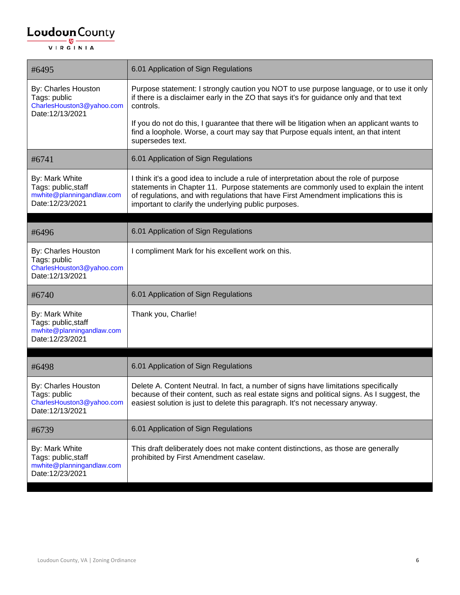| #6495                                                                                 | 6.01 Application of Sign Regulations                                                                                                                                                                                                                                                                                          |
|---------------------------------------------------------------------------------------|-------------------------------------------------------------------------------------------------------------------------------------------------------------------------------------------------------------------------------------------------------------------------------------------------------------------------------|
| By: Charles Houston<br>Tags: public<br>CharlesHouston3@yahoo.com<br>Date:12/13/2021   | Purpose statement: I strongly caution you NOT to use purpose language, or to use it only<br>if there is a disclaimer early in the ZO that says it's for guidance only and that text<br>controls.                                                                                                                              |
|                                                                                       | If you do not do this, I guarantee that there will be litigation when an applicant wants to<br>find a loophole. Worse, a court may say that Purpose equals intent, an that intent<br>supersedes text.                                                                                                                         |
| #6741                                                                                 | 6.01 Application of Sign Regulations                                                                                                                                                                                                                                                                                          |
| By: Mark White<br>Tags: public, staff<br>mwhite@planningandlaw.com<br>Date:12/23/2021 | I think it's a good idea to include a rule of interpretation about the role of purpose<br>statements in Chapter 11. Purpose statements are commonly used to explain the intent<br>of regulations, and with regulations that have First Amendment implications this is<br>important to clarify the underlying public purposes. |
| #6496                                                                                 | 6.01 Application of Sign Regulations                                                                                                                                                                                                                                                                                          |
| By: Charles Houston<br>Tags: public<br>CharlesHouston3@yahoo.com<br>Date:12/13/2021   | I compliment Mark for his excellent work on this.                                                                                                                                                                                                                                                                             |
| #6740                                                                                 | 6.01 Application of Sign Regulations                                                                                                                                                                                                                                                                                          |
| By: Mark White<br>Tags: public, staff<br>mwhite@planningandlaw.com<br>Date:12/23/2021 | Thank you, Charlie!                                                                                                                                                                                                                                                                                                           |
| #6498                                                                                 | 6.01 Application of Sign Regulations                                                                                                                                                                                                                                                                                          |
| By: Charles Houston<br>Tags: public<br>CharlesHouston3@yahoo.com<br>Date:12/13/2021   | Delete A. Content Neutral. In fact, a number of signs have limitations specifically<br>because of their content, such as real estate signs and political signs. As I suggest, the<br>easiest solution is just to delete this paragraph. It's not necessary anyway.                                                            |
| #6739                                                                                 | 6.01 Application of Sign Regulations                                                                                                                                                                                                                                                                                          |
| By: Mark White<br>Tags: public, staff<br>mwhite@planningandlaw.com<br>Date:12/23/2021 | This draft deliberately does not make content distinctions, as those are generally<br>prohibited by First Amendment caselaw.                                                                                                                                                                                                  |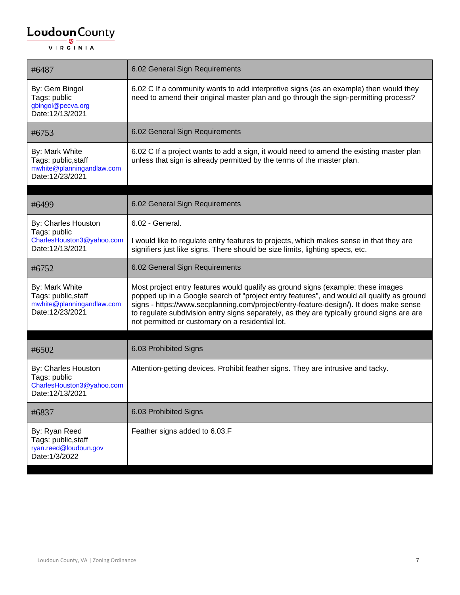| #6487                                                                                 | 6.02 General Sign Requirements                                                                                                                                                                                                                                                                                                                                                                                            |
|---------------------------------------------------------------------------------------|---------------------------------------------------------------------------------------------------------------------------------------------------------------------------------------------------------------------------------------------------------------------------------------------------------------------------------------------------------------------------------------------------------------------------|
| By: Gem Bingol<br>Tags: public<br>gbingol@pecva.org<br>Date:12/13/2021                | 6.02 C If a community wants to add interpretive signs (as an example) then would they<br>need to amend their original master plan and go through the sign-permitting process?                                                                                                                                                                                                                                             |
| #6753                                                                                 | 6.02 General Sign Requirements                                                                                                                                                                                                                                                                                                                                                                                            |
| By: Mark White<br>Tags: public, staff<br>mwhite@planningandlaw.com<br>Date:12/23/2021 | 6.02 C If a project wants to add a sign, it would need to amend the existing master plan<br>unless that sign is already permitted by the terms of the master plan.                                                                                                                                                                                                                                                        |
| #6499                                                                                 | 6.02 General Sign Requirements                                                                                                                                                                                                                                                                                                                                                                                            |
| By: Charles Houston<br>Tags: public<br>CharlesHouston3@yahoo.com<br>Date:12/13/2021   | 6.02 - General.<br>I would like to regulate entry features to projects, which makes sense in that they are<br>signifiers just like signs. There should be size limits, lighting specs, etc.                                                                                                                                                                                                                               |
| #6752                                                                                 | 6.02 General Sign Requirements                                                                                                                                                                                                                                                                                                                                                                                            |
| By: Mark White<br>Tags: public, staff<br>mwhite@planningandlaw.com<br>Date:12/23/2021 | Most project entry features would qualify as ground signs (example: these images<br>popped up in a Google search of "project entry features", and would all qualify as ground<br>signs - https://www.secplanning.com/project/entry-feature-design/). It does make sense<br>to regulate subdivision entry signs separately, as they are typically ground signs are are<br>not permitted or customary on a residential lot. |
| #6502                                                                                 | 6.03 Prohibited Signs                                                                                                                                                                                                                                                                                                                                                                                                     |
| By: Charles Houston<br>Tags: public<br>CharlesHouston3@yahoo.com<br>Date:12/13/2021   | Attention-getting devices. Prohibit feather signs. They are intrusive and tacky.                                                                                                                                                                                                                                                                                                                                          |
| #6837                                                                                 | 6.03 Prohibited Signs                                                                                                                                                                                                                                                                                                                                                                                                     |
| By: Ryan Reed<br>Tags: public, staff<br>ryan.reed@loudoun.gov<br>Date: 1/3/2022       | Feather signs added to 6.03.F                                                                                                                                                                                                                                                                                                                                                                                             |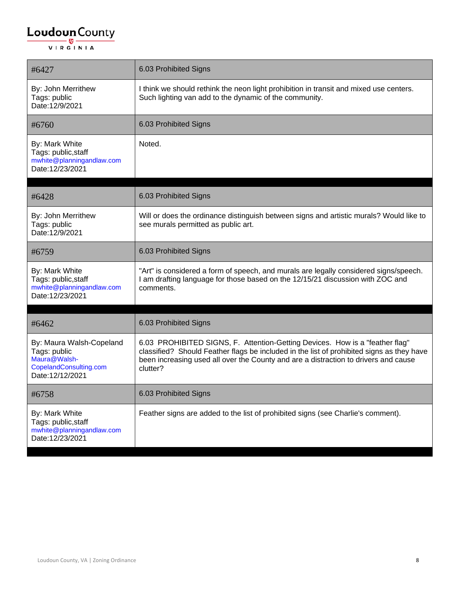| #6427                                                                                                 | 6.03 Prohibited Signs                                                                                                                                                                                                                                                        |
|-------------------------------------------------------------------------------------------------------|------------------------------------------------------------------------------------------------------------------------------------------------------------------------------------------------------------------------------------------------------------------------------|
| By: John Merrithew<br>Tags: public<br>Date:12/9/2021                                                  | I think we should rethink the neon light prohibition in transit and mixed use centers.<br>Such lighting van add to the dynamic of the community.                                                                                                                             |
| #6760                                                                                                 | 6.03 Prohibited Signs                                                                                                                                                                                                                                                        |
| By: Mark White<br>Tags: public, staff<br>mwhite@planningandlaw.com<br>Date:12/23/2021                 | Noted.                                                                                                                                                                                                                                                                       |
| #6428                                                                                                 | 6.03 Prohibited Signs                                                                                                                                                                                                                                                        |
| By: John Merrithew<br>Tags: public<br>Date:12/9/2021                                                  | Will or does the ordinance distinguish between signs and artistic murals? Would like to<br>see murals permitted as public art.                                                                                                                                               |
| #6759                                                                                                 | 6.03 Prohibited Signs                                                                                                                                                                                                                                                        |
| By: Mark White<br>Tags: public, staff<br>mwhite@planningandlaw.com<br>Date:12/23/2021                 | "Art" is considered a form of speech, and murals are legally considered signs/speech.<br>I am drafting language for those based on the 12/15/21 discussion with ZOC and<br>comments.                                                                                         |
| #6462                                                                                                 | 6.03 Prohibited Signs                                                                                                                                                                                                                                                        |
| By: Maura Walsh-Copeland<br>Tags: public<br>Maura@Walsh-<br>CopelandConsulting.com<br>Date:12/12/2021 | 6.03 PROHIBITED SIGNS, F. Attention-Getting Devices. How is a "feather flag"<br>classified? Should Feather flags be included in the list of prohibited signs as they have<br>been increasing used all over the County and are a distraction to drivers and cause<br>clutter? |
| #6758                                                                                                 | 6.03 Prohibited Signs                                                                                                                                                                                                                                                        |
| By: Mark White<br>Tags: public, staff<br>mwhite@planningandlaw.com<br>Date:12/23/2021                 | Feather signs are added to the list of prohibited signs (see Charlie's comment).                                                                                                                                                                                             |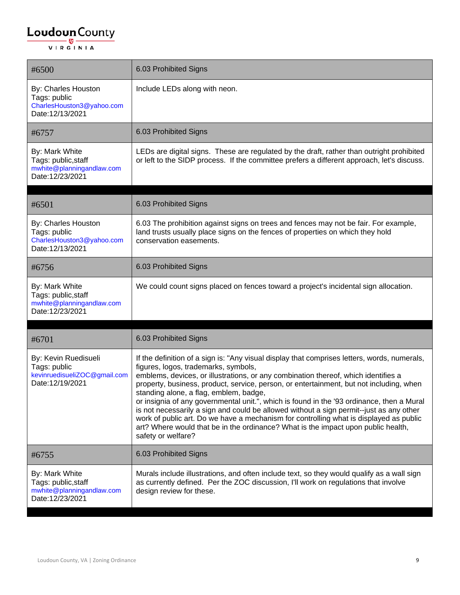| #6500                                                                                   | 6.03 Prohibited Signs                                                                                                                                                                                                                                                                                                                                                                                                                                                                                                                                                                                                                                                                                                                                        |
|-----------------------------------------------------------------------------------------|--------------------------------------------------------------------------------------------------------------------------------------------------------------------------------------------------------------------------------------------------------------------------------------------------------------------------------------------------------------------------------------------------------------------------------------------------------------------------------------------------------------------------------------------------------------------------------------------------------------------------------------------------------------------------------------------------------------------------------------------------------------|
| By: Charles Houston<br>Tags: public<br>CharlesHouston3@yahoo.com<br>Date:12/13/2021     | Include LEDs along with neon.                                                                                                                                                                                                                                                                                                                                                                                                                                                                                                                                                                                                                                                                                                                                |
| #6757                                                                                   | 6.03 Prohibited Signs                                                                                                                                                                                                                                                                                                                                                                                                                                                                                                                                                                                                                                                                                                                                        |
| By: Mark White<br>Tags: public, staff<br>mwhite@planningandlaw.com<br>Date:12/23/2021   | LEDs are digital signs. These are regulated by the draft, rather than outright prohibited<br>or left to the SIDP process. If the committee prefers a different approach, let's discuss.                                                                                                                                                                                                                                                                                                                                                                                                                                                                                                                                                                      |
| #6501                                                                                   | 6.03 Prohibited Signs                                                                                                                                                                                                                                                                                                                                                                                                                                                                                                                                                                                                                                                                                                                                        |
| By: Charles Houston<br>Tags: public<br>CharlesHouston3@yahoo.com<br>Date:12/13/2021     | 6.03 The prohibition against signs on trees and fences may not be fair. For example,<br>land trusts usually place signs on the fences of properties on which they hold<br>conservation easements.                                                                                                                                                                                                                                                                                                                                                                                                                                                                                                                                                            |
| #6756                                                                                   | 6.03 Prohibited Signs                                                                                                                                                                                                                                                                                                                                                                                                                                                                                                                                                                                                                                                                                                                                        |
| By: Mark White<br>Tags: public, staff<br>mwhite@planningandlaw.com<br>Date:12/23/2021   | We could count signs placed on fences toward a project's incidental sign allocation.                                                                                                                                                                                                                                                                                                                                                                                                                                                                                                                                                                                                                                                                         |
| #6701                                                                                   | 6.03 Prohibited Signs                                                                                                                                                                                                                                                                                                                                                                                                                                                                                                                                                                                                                                                                                                                                        |
| By: Kevin Ruedisueli<br>Tags: public<br>kevinruedisueliZOC@gmail.com<br>Date:12/19/2021 | If the definition of a sign is: "Any visual display that comprises letters, words, numerals,<br>figures, logos, trademarks, symbols,<br>emblems, devices, or illustrations, or any combination thereof, which identifies a<br>property, business, product, service, person, or entertainment, but not including, when<br>standing alone, a flag, emblem, badge,<br>or insignia of any governmental unit.", which is found in the '93 ordinance, then a Mural<br>is not necessarily a sign and could be allowed without a sign permit--just as any other<br>work of public art. Do we have a mechanism for controlling what is displayed as public<br>art? Where would that be in the ordinance? What is the impact upon public health,<br>safety or welfare? |
| #6755                                                                                   | 6.03 Prohibited Signs                                                                                                                                                                                                                                                                                                                                                                                                                                                                                                                                                                                                                                                                                                                                        |
| By: Mark White<br>Tags: public, staff<br>mwhite@planningandlaw.com<br>Date:12/23/2021   | Murals include illustrations, and often include text, so they would qualify as a wall sign<br>as currently defined. Per the ZOC discussion, I'll work on regulations that involve<br>design review for these.                                                                                                                                                                                                                                                                                                                                                                                                                                                                                                                                                |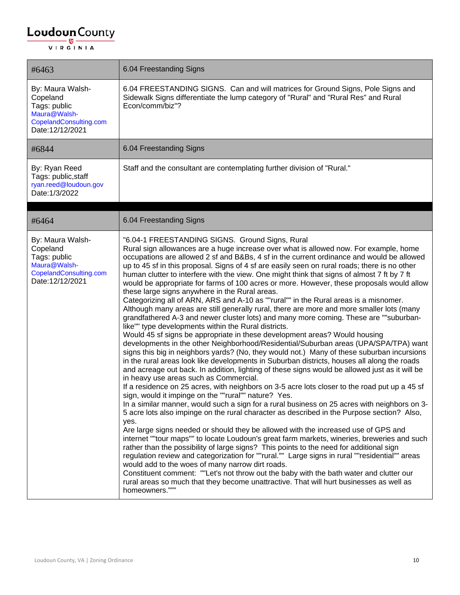| #6463                                                                                                     | 6.04 Freestanding Signs                                                                                                                                                                                                                                                                                                                                                                                                                                                                                                                                                                                                                                                                                                                                                                                                                                                                                                                                                                                                                                                                                                                                                                                                                                                                                                                                                                                                                                                                                                                                                                                                                                                                                                                                                                                                                                                                                                                                                                                                                                                                                                                                                                                                                                                                                                                                                                                                                                |
|-----------------------------------------------------------------------------------------------------------|--------------------------------------------------------------------------------------------------------------------------------------------------------------------------------------------------------------------------------------------------------------------------------------------------------------------------------------------------------------------------------------------------------------------------------------------------------------------------------------------------------------------------------------------------------------------------------------------------------------------------------------------------------------------------------------------------------------------------------------------------------------------------------------------------------------------------------------------------------------------------------------------------------------------------------------------------------------------------------------------------------------------------------------------------------------------------------------------------------------------------------------------------------------------------------------------------------------------------------------------------------------------------------------------------------------------------------------------------------------------------------------------------------------------------------------------------------------------------------------------------------------------------------------------------------------------------------------------------------------------------------------------------------------------------------------------------------------------------------------------------------------------------------------------------------------------------------------------------------------------------------------------------------------------------------------------------------------------------------------------------------------------------------------------------------------------------------------------------------------------------------------------------------------------------------------------------------------------------------------------------------------------------------------------------------------------------------------------------------------------------------------------------------------------------------------------------------|
| By: Maura Walsh-<br>Copeland<br>Tags: public<br>Maura@Walsh-<br>CopelandConsulting.com<br>Date:12/12/2021 | 6.04 FREESTANDING SIGNS. Can and will matrices for Ground Signs, Pole Signs and<br>Sidewalk Signs differentiate the lump category of "Rural" and "Rural Res" and Rural<br>Econ/comm/biz"?                                                                                                                                                                                                                                                                                                                                                                                                                                                                                                                                                                                                                                                                                                                                                                                                                                                                                                                                                                                                                                                                                                                                                                                                                                                                                                                                                                                                                                                                                                                                                                                                                                                                                                                                                                                                                                                                                                                                                                                                                                                                                                                                                                                                                                                              |
| #6844                                                                                                     | 6.04 Freestanding Signs                                                                                                                                                                                                                                                                                                                                                                                                                                                                                                                                                                                                                                                                                                                                                                                                                                                                                                                                                                                                                                                                                                                                                                                                                                                                                                                                                                                                                                                                                                                                                                                                                                                                                                                                                                                                                                                                                                                                                                                                                                                                                                                                                                                                                                                                                                                                                                                                                                |
| By: Ryan Reed<br>Tags: public, staff<br>ryan.reed@loudoun.gov<br>Date: 1/3/2022                           | Staff and the consultant are contemplating further division of "Rural."                                                                                                                                                                                                                                                                                                                                                                                                                                                                                                                                                                                                                                                                                                                                                                                                                                                                                                                                                                                                                                                                                                                                                                                                                                                                                                                                                                                                                                                                                                                                                                                                                                                                                                                                                                                                                                                                                                                                                                                                                                                                                                                                                                                                                                                                                                                                                                                |
| #6464                                                                                                     | 6.04 Freestanding Signs                                                                                                                                                                                                                                                                                                                                                                                                                                                                                                                                                                                                                                                                                                                                                                                                                                                                                                                                                                                                                                                                                                                                                                                                                                                                                                                                                                                                                                                                                                                                                                                                                                                                                                                                                                                                                                                                                                                                                                                                                                                                                                                                                                                                                                                                                                                                                                                                                                |
| By: Maura Walsh-<br>Copeland<br>Tags: public<br>Maura@Walsh-<br>CopelandConsulting.com<br>Date:12/12/2021 | "6.04-1 FREESTANDING SIGNS. Ground Signs, Rural<br>Rural sign allowances are a huge increase over what is allowed now. For example, home<br>occupations are allowed 2 sf and B&Bs, 4 sf in the current ordinance and would be allowed<br>up to 45 sf in this proposal. Signs of 4 sf are easily seen on rural roads; there is no other<br>human clutter to interfere with the view. One might think that signs of almost 7 ft by 7 ft<br>would be appropriate for farms of 100 acres or more. However, these proposals would allow<br>these large signs anywhere in the Rural areas.<br>Categorizing all of ARN, ARS and A-10 as ""rural"" in the Rural areas is a misnomer.<br>Although many areas are still generally rural, there are more and more smaller lots (many<br>grandfathered A-3 and newer cluster lots) and many more coming. These are ""suburban-<br>like"" type developments within the Rural districts.<br>Would 45 sf signs be appropriate in these development areas? Would housing<br>developments in the other Neighborhood/Residential/Suburban areas (UPA/SPA/TPA) want<br>signs this big in neighbors yards? (No, they would not.) Many of these suburban incursions<br>in the rural areas look like developments in Suburban districts, houses all along the roads<br>and acreage out back. In addition, lighting of these signs would be allowed just as it will be<br>in heavy use areas such as Commercial.<br>If a residence on 25 acres, with neighbors on 3-5 acre lots closer to the road put up a 45 sf<br>sign, would it impinge on the ""rural"" nature? Yes.<br>In a similar manner, would such a sign for a rural business on 25 acres with neighbors on 3-<br>5 acre lots also impinge on the rural character as described in the Purpose section? Also,<br>yes.<br>Are large signs needed or should they be allowed with the increased use of GPS and<br>internet ""tour maps"" to locate Loudoun's great farm markets, wineries, breweries and such<br>rather than the possibility of large signs? This points to the need for additional sign<br>regulation review and categorization for ""rural."" Large signs in rural ""residential"" areas<br>would add to the woes of many narrow dirt roads.<br>Constituent comment: ""Let's not throw out the baby with the bath water and clutter our<br>rural areas so much that they become unattractive. That will hurt businesses as well as<br>homeowners.""" |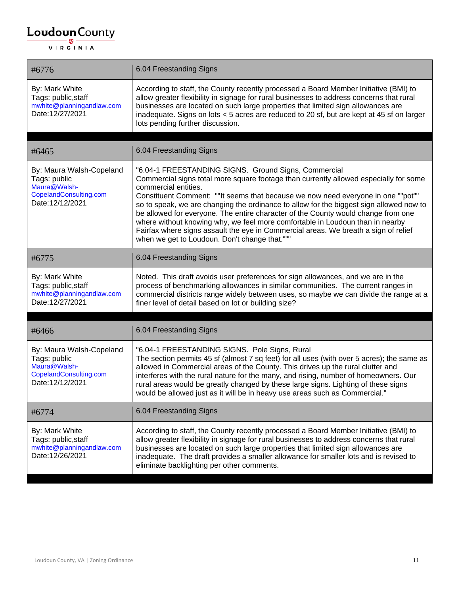| #6776                                                                                                 | 6.04 Freestanding Signs                                                                                                                                                                                                                                                                                                                                                                                                                                                                                                                                                                                                                                            |
|-------------------------------------------------------------------------------------------------------|--------------------------------------------------------------------------------------------------------------------------------------------------------------------------------------------------------------------------------------------------------------------------------------------------------------------------------------------------------------------------------------------------------------------------------------------------------------------------------------------------------------------------------------------------------------------------------------------------------------------------------------------------------------------|
| By: Mark White<br>Tags: public, staff<br>mwhite@planningandlaw.com<br>Date:12/27/2021                 | According to staff, the County recently processed a Board Member Initiative (BMI) to<br>allow greater flexibility in signage for rural businesses to address concerns that rural<br>businesses are located on such large properties that limited sign allowances are<br>inadequate. Signs on lots < 5 acres are reduced to 20 sf, but are kept at 45 sf on larger<br>lots pending further discussion.                                                                                                                                                                                                                                                              |
| #6465                                                                                                 | 6.04 Freestanding Signs                                                                                                                                                                                                                                                                                                                                                                                                                                                                                                                                                                                                                                            |
| By: Maura Walsh-Copeland<br>Tags: public<br>Maura@Walsh-<br>CopelandConsulting.com<br>Date:12/12/2021 | "6.04-1 FREESTANDING SIGNS. Ground Signs, Commercial<br>Commercial signs total more square footage than currently allowed especially for some<br>commercial entities.<br>Constituent Comment: ""It seems that because we now need everyone in one ""pot""<br>so to speak, we are changing the ordinance to allow for the biggest sign allowed now to<br>be allowed for everyone. The entire character of the County would change from one<br>where without knowing why, we feel more comfortable in Loudoun than in nearby<br>Fairfax where signs assault the eye in Commercial areas. We breath a sign of relief<br>when we get to Loudoun. Don't change that.""" |
| #6775                                                                                                 | 6.04 Freestanding Signs                                                                                                                                                                                                                                                                                                                                                                                                                                                                                                                                                                                                                                            |
| By: Mark White<br>Tags: public, staff<br>mwhite@planningandlaw.com<br>Date:12/27/2021                 | Noted. This draft avoids user preferences for sign allowances, and we are in the<br>process of benchmarking allowances in similar communities. The current ranges in<br>commercial districts range widely between uses, so maybe we can divide the range at a<br>finer level of detail based on lot or building size?                                                                                                                                                                                                                                                                                                                                              |
| #6466                                                                                                 | 6.04 Freestanding Signs                                                                                                                                                                                                                                                                                                                                                                                                                                                                                                                                                                                                                                            |
| By: Maura Walsh-Copeland<br>Tags: public<br>Maura@Walsh-<br>CopelandConsulting.com<br>Date:12/12/2021 | "6.04-1 FREESTANDING SIGNS. Pole Signs, Rural<br>The section permits 45 sf (almost 7 sq feet) for all uses (with over 5 acres); the same as<br>allowed in Commercial areas of the County. This drives up the rural clutter and<br>interferes with the rural nature for the many, and rising, number of homeowners. Our<br>rural areas would be greatly changed by these large signs. Lighting of these signs<br>would be allowed just as it will be in heavy use areas such as Commercial."                                                                                                                                                                        |
| #6774                                                                                                 | 6.04 Freestanding Signs                                                                                                                                                                                                                                                                                                                                                                                                                                                                                                                                                                                                                                            |
| By: Mark White<br>Tags: public, staff<br>mwhite@planningandlaw.com<br>Date:12/26/2021                 | According to staff, the County recently processed a Board Member Initiative (BMI) to<br>allow greater flexibility in signage for rural businesses to address concerns that rural<br>businesses are located on such large properties that limited sign allowances are<br>inadequate. The draft provides a smaller allowance for smaller lots and is revised to<br>eliminate backlighting per other comments.                                                                                                                                                                                                                                                        |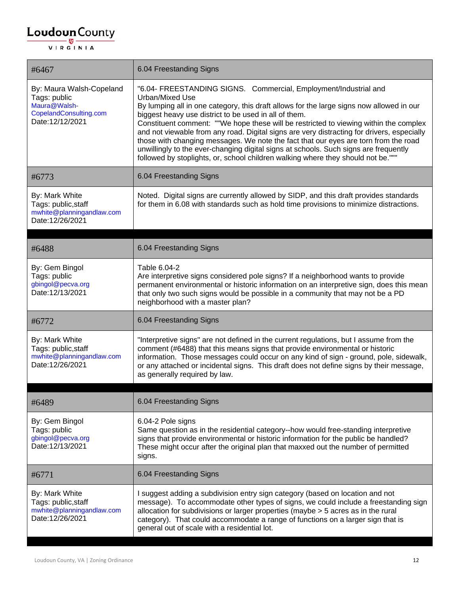#### $\underbrace{\textbf{Loudoun}\xspace}_{\text{VIR GINIA}}$

| #6467                                                                                                 | 6.04 Freestanding Signs                                                                                                                                                                                                                                                                                                                                                                                                                                                                                                                                                                                                                                                                            |
|-------------------------------------------------------------------------------------------------------|----------------------------------------------------------------------------------------------------------------------------------------------------------------------------------------------------------------------------------------------------------------------------------------------------------------------------------------------------------------------------------------------------------------------------------------------------------------------------------------------------------------------------------------------------------------------------------------------------------------------------------------------------------------------------------------------------|
| By: Maura Walsh-Copeland<br>Tags: public<br>Maura@Walsh-<br>CopelandConsulting.com<br>Date:12/12/2021 | "6.04- FREESTANDING SIGNS. Commercial, Employment/Industrial and<br>Urban/Mixed Use<br>By lumping all in one category, this draft allows for the large signs now allowed in our<br>biggest heavy use district to be used in all of them.<br>Constituent comment: ""We hope these will be restricted to viewing within the complex<br>and not viewable from any road. Digital signs are very distracting for drivers, especially<br>those with changing messages. We note the fact that our eyes are torn from the road<br>unwillingly to the ever-changing digital signs at schools. Such signs are frequently<br>followed by stoplights, or, school children walking where they should not be.""" |
| #6773                                                                                                 | 6.04 Freestanding Signs                                                                                                                                                                                                                                                                                                                                                                                                                                                                                                                                                                                                                                                                            |
| By: Mark White<br>Tags: public, staff<br>mwhite@planningandlaw.com<br>Date:12/26/2021                 | Noted. Digital signs are currently allowed by SIDP, and this draft provides standards<br>for them in 6.08 with standards such as hold time provisions to minimize distractions.                                                                                                                                                                                                                                                                                                                                                                                                                                                                                                                    |
| #6488                                                                                                 | 6.04 Freestanding Signs                                                                                                                                                                                                                                                                                                                                                                                                                                                                                                                                                                                                                                                                            |
| By: Gem Bingol<br>Tags: public<br>gbingol@pecva.org<br>Date:12/13/2021                                | Table 6.04-2<br>Are interpretive signs considered pole signs? If a neighborhood wants to provide<br>permanent environmental or historic information on an interpretive sign, does this mean<br>that only two such signs would be possible in a community that may not be a PD<br>neighborhood with a master plan?                                                                                                                                                                                                                                                                                                                                                                                  |
| #6772                                                                                                 | 6.04 Freestanding Signs                                                                                                                                                                                                                                                                                                                                                                                                                                                                                                                                                                                                                                                                            |
| By: Mark White<br>Tags: public, staff<br>mwhite@planningandlaw.com<br>Date:12/26/2021                 | "Interpretive signs" are not defined in the current regulations, but I assume from the<br>comment (#6488) that this means signs that provide environmental or historic<br>information. Those messages could occur on any kind of sign - ground, pole, sidewalk,<br>or any attached or incidental signs. This draft does not define signs by their message,<br>as generally required by law.                                                                                                                                                                                                                                                                                                        |
| #6489                                                                                                 | 6.04 Freestanding Signs                                                                                                                                                                                                                                                                                                                                                                                                                                                                                                                                                                                                                                                                            |
| By: Gem Bingol<br>Tags: public<br>gbingol@pecva.org<br>Date:12/13/2021                                | 6.04-2 Pole signs<br>Same question as in the residential category--how would free-standing interpretive<br>signs that provide environmental or historic information for the public be handled?<br>These might occur after the original plan that maxxed out the number of permitted<br>signs.                                                                                                                                                                                                                                                                                                                                                                                                      |
| #6771                                                                                                 | 6.04 Freestanding Signs                                                                                                                                                                                                                                                                                                                                                                                                                                                                                                                                                                                                                                                                            |
| By: Mark White<br>Tags: public, staff<br>mwhite@planningandlaw.com<br>Date:12/26/2021                 | I suggest adding a subdivision entry sign category (based on location and not<br>message). To accommodate other types of signs, we could include a freestanding sign<br>allocation for subdivisions or larger properties (maybe > 5 acres as in the rural<br>category). That could accommodate a range of functions on a larger sign that is<br>general out of scale with a residential lot.                                                                                                                                                                                                                                                                                                       |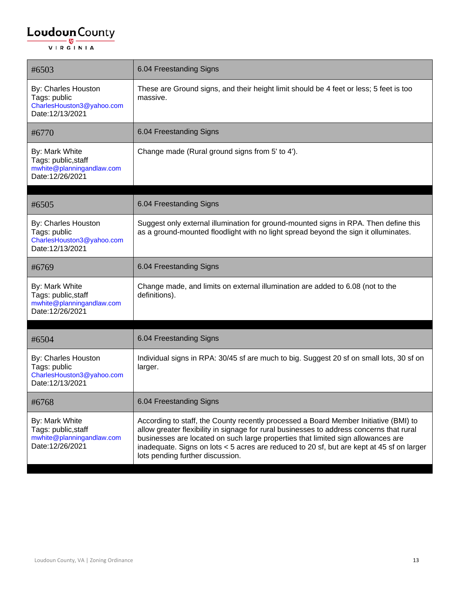| #6503                                                                                 | 6.04 Freestanding Signs                                                                                                                                                                                                                                                                                                                                                                               |
|---------------------------------------------------------------------------------------|-------------------------------------------------------------------------------------------------------------------------------------------------------------------------------------------------------------------------------------------------------------------------------------------------------------------------------------------------------------------------------------------------------|
| By: Charles Houston<br>Tags: public<br>CharlesHouston3@yahoo.com<br>Date:12/13/2021   | These are Ground signs, and their height limit should be 4 feet or less; 5 feet is too<br>massive.                                                                                                                                                                                                                                                                                                    |
| #6770                                                                                 | 6.04 Freestanding Signs                                                                                                                                                                                                                                                                                                                                                                               |
| By: Mark White<br>Tags: public, staff<br>mwhite@planningandlaw.com<br>Date:12/26/2021 | Change made (Rural ground signs from 5' to 4').                                                                                                                                                                                                                                                                                                                                                       |
| #6505                                                                                 | 6.04 Freestanding Signs                                                                                                                                                                                                                                                                                                                                                                               |
| By: Charles Houston<br>Tags: public<br>CharlesHouston3@yahoo.com<br>Date:12/13/2021   | Suggest only external illumination for ground-mounted signs in RPA. Then define this<br>as a ground-mounted floodlight with no light spread beyond the sign it olluminates.                                                                                                                                                                                                                           |
| #6769                                                                                 | 6.04 Freestanding Signs                                                                                                                                                                                                                                                                                                                                                                               |
| By: Mark White<br>Tags: public, staff<br>mwhite@planningandlaw.com<br>Date:12/26/2021 | Change made, and limits on external illumination are added to 6.08 (not to the<br>definitions).                                                                                                                                                                                                                                                                                                       |
| #6504                                                                                 | 6.04 Freestanding Signs                                                                                                                                                                                                                                                                                                                                                                               |
| By: Charles Houston<br>Tags: public<br>CharlesHouston3@yahoo.com<br>Date:12/13/2021   | Individual signs in RPA: 30/45 sf are much to big. Suggest 20 sf on small lots, 30 sf on<br>larger.                                                                                                                                                                                                                                                                                                   |
| #6768                                                                                 | 6.04 Freestanding Signs                                                                                                                                                                                                                                                                                                                                                                               |
| By: Mark White<br>Tags: public, staff<br>mwhite@planningandlaw.com<br>Date:12/26/2021 | According to staff, the County recently processed a Board Member Initiative (BMI) to<br>allow greater flexibility in signage for rural businesses to address concerns that rural<br>businesses are located on such large properties that limited sign allowances are<br>inadequate. Signs on lots < 5 acres are reduced to 20 sf, but are kept at 45 sf on larger<br>lots pending further discussion. |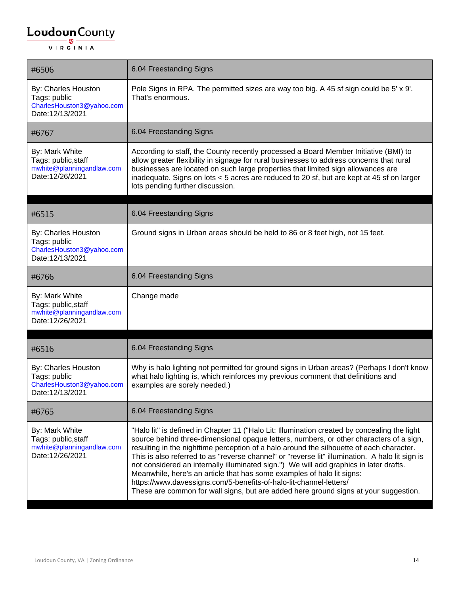| #6506                                                                                 | 6.04 Freestanding Signs                                                                                                                                                                                                                                                                                                                                                                                                                                                                                                                                                                                                                                                                                                  |
|---------------------------------------------------------------------------------------|--------------------------------------------------------------------------------------------------------------------------------------------------------------------------------------------------------------------------------------------------------------------------------------------------------------------------------------------------------------------------------------------------------------------------------------------------------------------------------------------------------------------------------------------------------------------------------------------------------------------------------------------------------------------------------------------------------------------------|
| By: Charles Houston<br>Tags: public<br>CharlesHouston3@yahoo.com<br>Date:12/13/2021   | Pole Signs in RPA. The permitted sizes are way too big. A 45 sf sign could be 5' x 9'.<br>That's enormous.                                                                                                                                                                                                                                                                                                                                                                                                                                                                                                                                                                                                               |
| #6767                                                                                 | 6.04 Freestanding Signs                                                                                                                                                                                                                                                                                                                                                                                                                                                                                                                                                                                                                                                                                                  |
| By: Mark White<br>Tags: public, staff<br>mwhite@planningandlaw.com<br>Date:12/26/2021 | According to staff, the County recently processed a Board Member Initiative (BMI) to<br>allow greater flexibility in signage for rural businesses to address concerns that rural<br>businesses are located on such large properties that limited sign allowances are<br>inadequate. Signs on lots < 5 acres are reduced to 20 sf, but are kept at 45 sf on larger<br>lots pending further discussion.                                                                                                                                                                                                                                                                                                                    |
| #6515                                                                                 | 6.04 Freestanding Signs                                                                                                                                                                                                                                                                                                                                                                                                                                                                                                                                                                                                                                                                                                  |
| By: Charles Houston<br>Tags: public<br>CharlesHouston3@yahoo.com<br>Date:12/13/2021   | Ground signs in Urban areas should be held to 86 or 8 feet high, not 15 feet.                                                                                                                                                                                                                                                                                                                                                                                                                                                                                                                                                                                                                                            |
| #6766                                                                                 | 6.04 Freestanding Signs                                                                                                                                                                                                                                                                                                                                                                                                                                                                                                                                                                                                                                                                                                  |
| By: Mark White<br>Tags: public, staff<br>mwhite@planningandlaw.com<br>Date:12/26/2021 | Change made                                                                                                                                                                                                                                                                                                                                                                                                                                                                                                                                                                                                                                                                                                              |
| #6516                                                                                 | 6.04 Freestanding Signs                                                                                                                                                                                                                                                                                                                                                                                                                                                                                                                                                                                                                                                                                                  |
| By: Charles Houston<br>Tags: public<br>CharlesHouston3@yahoo.com<br>Date:12/13/2021   | Why is halo lighting not permitted for ground signs in Urban areas? (Perhaps I don't know<br>what halo lighting is, which reinforces my previous comment that definitions and<br>examples are sorely needed.)                                                                                                                                                                                                                                                                                                                                                                                                                                                                                                            |
| #6765                                                                                 | 6.04 Freestanding Signs                                                                                                                                                                                                                                                                                                                                                                                                                                                                                                                                                                                                                                                                                                  |
| By: Mark White<br>Tags: public, staff<br>mwhite@planningandlaw.com<br>Date:12/26/2021 | "Halo lit" is defined in Chapter 11 ("Halo Lit: Illumination created by concealing the light<br>source behind three-dimensional opaque letters, numbers, or other characters of a sign,<br>resulting in the nighttime perception of a halo around the silhouette of each character.<br>This is also referred to as "reverse channel" or "reverse lit" illumination. A halo lit sign is<br>not considered an internally illuminated sign.") We will add graphics in later drafts.<br>Meanwhile, here's an article that has some examples of halo lit signs:<br>https://www.davessigns.com/5-benefits-of-halo-lit-channel-letters/<br>These are common for wall signs, but are added here ground signs at your suggestion. |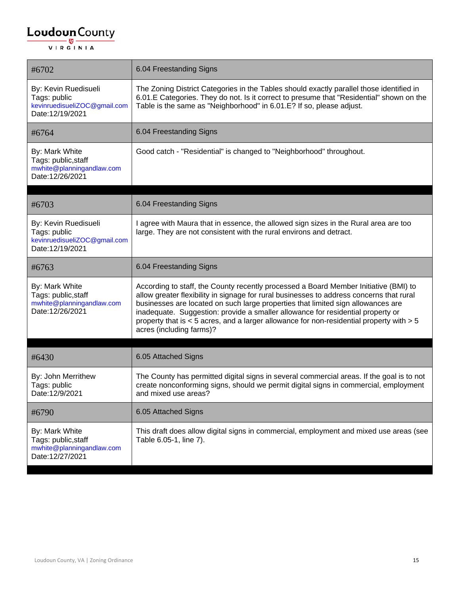| #6702                                                                                   | 6.04 Freestanding Signs                                                                                                                                                                                                                                                                                                                                                                                                                                                         |
|-----------------------------------------------------------------------------------------|---------------------------------------------------------------------------------------------------------------------------------------------------------------------------------------------------------------------------------------------------------------------------------------------------------------------------------------------------------------------------------------------------------------------------------------------------------------------------------|
| By: Kevin Ruedisueli<br>Tags: public<br>kevinruedisueliZOC@gmail.com<br>Date:12/19/2021 | The Zoning District Categories in the Tables should exactly parallel those identified in<br>6.01.E Categories. They do not. Is it correct to presume that "Residential" shown on the<br>Table is the same as "Neighborhood" in 6.01.E? If so, please adjust.                                                                                                                                                                                                                    |
| #6764                                                                                   | 6.04 Freestanding Signs                                                                                                                                                                                                                                                                                                                                                                                                                                                         |
| By: Mark White<br>Tags: public, staff<br>mwhite@planningandlaw.com<br>Date:12/26/2021   | Good catch - "Residential" is changed to "Neighborhood" throughout.                                                                                                                                                                                                                                                                                                                                                                                                             |
| #6703                                                                                   | 6.04 Freestanding Signs                                                                                                                                                                                                                                                                                                                                                                                                                                                         |
| By: Kevin Ruedisueli<br>Tags: public<br>kevinruedisueliZOC@gmail.com<br>Date:12/19/2021 | I agree with Maura that in essence, the allowed sign sizes in the Rural area are too<br>large. They are not consistent with the rural environs and detract.                                                                                                                                                                                                                                                                                                                     |
| #6763                                                                                   | 6.04 Freestanding Signs                                                                                                                                                                                                                                                                                                                                                                                                                                                         |
| By: Mark White<br>Tags: public, staff<br>mwhite@planningandlaw.com<br>Date:12/26/2021   | According to staff, the County recently processed a Board Member Initiative (BMI) to<br>allow greater flexibility in signage for rural businesses to address concerns that rural<br>businesses are located on such large properties that limited sign allowances are<br>inadequate. Suggestion: provide a smaller allowance for residential property or<br>property that is < 5 acres, and a larger allowance for non-residential property with > 5<br>acres (including farms)? |
| #6430                                                                                   | 6.05 Attached Signs                                                                                                                                                                                                                                                                                                                                                                                                                                                             |
| By: John Merrithew<br>Tags: public<br>Date:12/9/2021                                    | The County has permitted digital signs in several commercial areas. If the goal is to not<br>create nonconforming signs, should we permit digital signs in commercial, employment<br>and mixed use areas?                                                                                                                                                                                                                                                                       |
| #6790                                                                                   | 6.05 Attached Signs                                                                                                                                                                                                                                                                                                                                                                                                                                                             |
| By: Mark White<br>Tags: public, staff<br>mwhite@planningandlaw.com<br>Date:12/27/2021   | This draft does allow digital signs in commercial, employment and mixed use areas (see<br>Table 6.05-1, line 7).                                                                                                                                                                                                                                                                                                                                                                |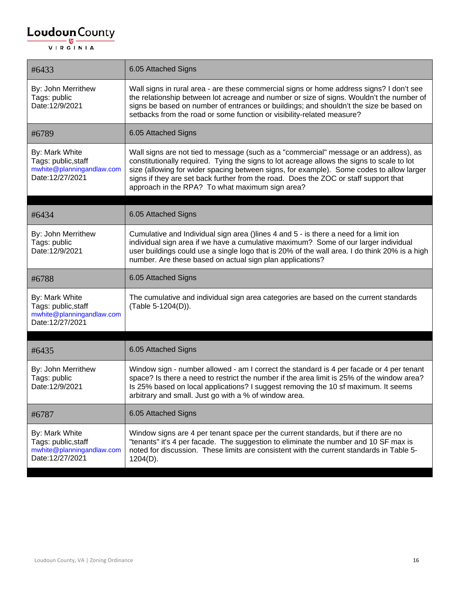| #6433                                                                                 | 6.05 Attached Signs                                                                                                                                                                                                                                                                                                                                                                                                        |
|---------------------------------------------------------------------------------------|----------------------------------------------------------------------------------------------------------------------------------------------------------------------------------------------------------------------------------------------------------------------------------------------------------------------------------------------------------------------------------------------------------------------------|
| By: John Merrithew<br>Tags: public<br>Date:12/9/2021                                  | Wall signs in rural area - are these commercial signs or home address signs? I don't see<br>the relationship between lot acreage and number or size of signs. Wouldn't the number of<br>signs be based on number of entrances or buildings; and shouldn't the size be based on<br>setbacks from the road or some function or visibility-related measure?                                                                   |
| #6789                                                                                 | 6.05 Attached Signs                                                                                                                                                                                                                                                                                                                                                                                                        |
| By: Mark White<br>Tags: public, staff<br>mwhite@planningandlaw.com<br>Date:12/27/2021 | Wall signs are not tied to message (such as a "commercial" message or an address), as<br>constitutionally required. Tying the signs to lot acreage allows the signs to scale to lot<br>size (allowing for wider spacing between signs, for example). Some codes to allow larger<br>signs if they are set back further from the road. Does the ZOC or staff support that<br>approach in the RPA? To what maximum sign area? |
|                                                                                       |                                                                                                                                                                                                                                                                                                                                                                                                                            |
| #6434                                                                                 | 6.05 Attached Signs                                                                                                                                                                                                                                                                                                                                                                                                        |
| By: John Merrithew<br>Tags: public<br>Date:12/9/2021                                  | Cumulative and Individual sign area ()lines 4 and 5 - is there a need for a limit ion<br>individual sign area if we have a cumulative maximum? Some of our larger individual<br>user buildings could use a single logo that is 20% of the wall area. I do think 20% is a high<br>number. Are these based on actual sign plan applications?                                                                                 |
| #6788                                                                                 | 6.05 Attached Signs                                                                                                                                                                                                                                                                                                                                                                                                        |
| By: Mark White<br>Tags: public, staff<br>mwhite@planningandlaw.com<br>Date:12/27/2021 | The cumulative and individual sign area categories are based on the current standards<br>(Table 5-1204(D)).                                                                                                                                                                                                                                                                                                                |
|                                                                                       |                                                                                                                                                                                                                                                                                                                                                                                                                            |
| #6435                                                                                 | 6.05 Attached Signs                                                                                                                                                                                                                                                                                                                                                                                                        |
| By: John Merrithew<br>Tags: public<br>Date:12/9/2021                                  | Window sign - number allowed - am I correct the standard is 4 per facade or 4 per tenant<br>space? Is there a need to restrict the number if the area limit is 25% of the window area?<br>Is 25% based on local applications? I suggest removing the 10 sf maximum. It seems<br>arbitrary and small. Just go with a % of window area.                                                                                      |
| #6787                                                                                 | 6.05 Attached Signs                                                                                                                                                                                                                                                                                                                                                                                                        |
| By: Mark White<br>Tags: public, staff<br>mwhite@planningandlaw.com<br>Date:12/27/2021 | Window signs are 4 per tenant space per the current standards, but if there are no<br>"tenants" it's 4 per facade. The suggestion to eliminate the number and 10 SF max is<br>noted for discussion. These limits are consistent with the current standards in Table 5-<br>$1204(D)$ .                                                                                                                                      |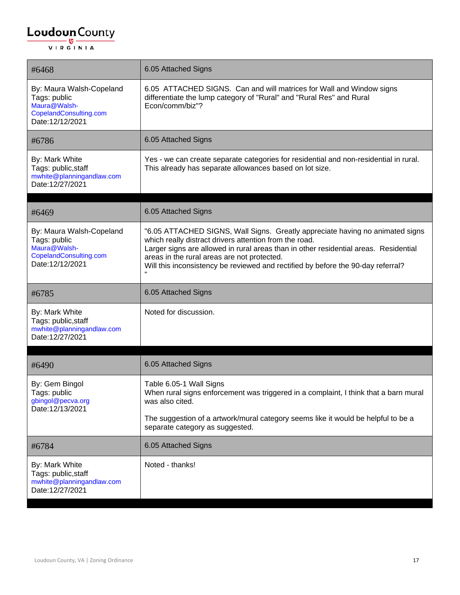| #6468                                                                                                 | 6.05 Attached Signs                                                                                                                                                                                                                                                                                                                                                |
|-------------------------------------------------------------------------------------------------------|--------------------------------------------------------------------------------------------------------------------------------------------------------------------------------------------------------------------------------------------------------------------------------------------------------------------------------------------------------------------|
| By: Maura Walsh-Copeland<br>Tags: public<br>Maura@Walsh-<br>CopelandConsulting.com<br>Date:12/12/2021 | 6.05 ATTACHED SIGNS. Can and will matrices for Wall and Window signs<br>differentiate the lump category of "Rural" and "Rural Res" and Rural<br>Econ/comm/biz"?                                                                                                                                                                                                    |
| #6786                                                                                                 | 6.05 Attached Signs                                                                                                                                                                                                                                                                                                                                                |
| By: Mark White<br>Tags: public, staff<br>mwhite@planningandlaw.com<br>Date:12/27/2021                 | Yes - we can create separate categories for residential and non-residential in rural.<br>This already has separate allowances based on lot size.                                                                                                                                                                                                                   |
| #6469                                                                                                 | 6.05 Attached Signs                                                                                                                                                                                                                                                                                                                                                |
| By: Maura Walsh-Copeland<br>Tags: public<br>Maura@Walsh-<br>CopelandConsulting.com<br>Date:12/12/2021 | "6.05 ATTACHED SIGNS, Wall Signs. Greatly appreciate having no animated signs<br>which really distract drivers attention from the road.<br>Larger signs are allowed in rural areas than in other residential areas. Residential<br>areas in the rural areas are not protected.<br>Will this inconsistency be reviewed and rectified by before the 90-day referral? |
| #6785                                                                                                 | 6.05 Attached Signs                                                                                                                                                                                                                                                                                                                                                |
| By: Mark White<br>Tags: public, staff<br>mwhite@planningandlaw.com<br>Date:12/27/2021                 | Noted for discussion.                                                                                                                                                                                                                                                                                                                                              |
| #6490                                                                                                 | 6.05 Attached Signs                                                                                                                                                                                                                                                                                                                                                |
| By: Gem Bingol<br>Tags: public<br>gbingol@pecva.org<br>Date:12/13/2021                                | Table 6.05-1 Wall Signs<br>When rural signs enforcement was triggered in a complaint, I think that a barn mural<br>was also cited.                                                                                                                                                                                                                                 |
|                                                                                                       | The suggestion of a artwork/mural category seems like it would be helpful to be a<br>separate category as suggested.                                                                                                                                                                                                                                               |
| #6784                                                                                                 | 6.05 Attached Signs                                                                                                                                                                                                                                                                                                                                                |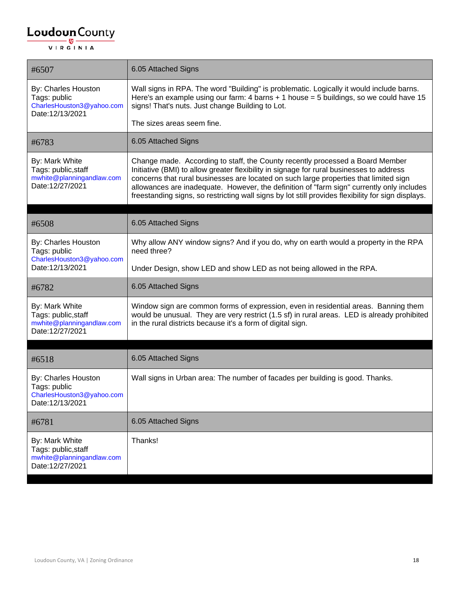| #6507                                                                                 | 6.05 Attached Signs                                                                                                                                                                                                                                                                                                                                                                                                                                                   |
|---------------------------------------------------------------------------------------|-----------------------------------------------------------------------------------------------------------------------------------------------------------------------------------------------------------------------------------------------------------------------------------------------------------------------------------------------------------------------------------------------------------------------------------------------------------------------|
| By: Charles Houston<br>Tags: public<br>CharlesHouston3@yahoo.com<br>Date:12/13/2021   | Wall signs in RPA. The word "Building" is problematic. Logically it would include barns.<br>Here's an example using our farm: 4 barns $+1$ house = 5 buildings, so we could have 15<br>signs! That's nuts. Just change Building to Lot.                                                                                                                                                                                                                               |
|                                                                                       | The sizes areas seem fine.                                                                                                                                                                                                                                                                                                                                                                                                                                            |
| #6783                                                                                 | 6.05 Attached Signs                                                                                                                                                                                                                                                                                                                                                                                                                                                   |
| By: Mark White<br>Tags: public, staff<br>mwhite@planningandlaw.com<br>Date:12/27/2021 | Change made. According to staff, the County recently processed a Board Member<br>Initiative (BMI) to allow greater flexibility in signage for rural businesses to address<br>concerns that rural businesses are located on such large properties that limited sign<br>allowances are inadequate. However, the definition of "farm sign" currently only includes<br>freestanding signs, so restricting wall signs by lot still provides flexibility for sign displays. |
| #6508                                                                                 | 6.05 Attached Signs                                                                                                                                                                                                                                                                                                                                                                                                                                                   |
| By: Charles Houston<br>Tags: public<br>CharlesHouston3@yahoo.com                      | Why allow ANY window signs? And if you do, why on earth would a property in the RPA<br>need three?                                                                                                                                                                                                                                                                                                                                                                    |
| Date:12/13/2021                                                                       | Under Design, show LED and show LED as not being allowed in the RPA.                                                                                                                                                                                                                                                                                                                                                                                                  |
| #6782                                                                                 | 6.05 Attached Signs                                                                                                                                                                                                                                                                                                                                                                                                                                                   |
| By: Mark White<br>Tags: public, staff<br>mwhite@planningandlaw.com<br>Date:12/27/2021 | Window sign are common forms of expression, even in residential areas. Banning them<br>would be unusual. They are very restrict (1.5 sf) in rural areas. LED is already prohibited<br>in the rural districts because it's a form of digital sign.                                                                                                                                                                                                                     |
| #6518                                                                                 | 6.05 Attached Signs                                                                                                                                                                                                                                                                                                                                                                                                                                                   |
|                                                                                       |                                                                                                                                                                                                                                                                                                                                                                                                                                                                       |
| By: Charles Houston<br>Tags: public<br>CharlesHouston3@yahoo.com<br>Date:12/13/2021   | Wall signs in Urban area: The number of facades per building is good. Thanks.                                                                                                                                                                                                                                                                                                                                                                                         |
| #6781                                                                                 | 6.05 Attached Signs                                                                                                                                                                                                                                                                                                                                                                                                                                                   |
| By: Mark White<br>Tags: public, staff<br>mwhite@planningandlaw.com<br>Date:12/27/2021 | Thanks!                                                                                                                                                                                                                                                                                                                                                                                                                                                               |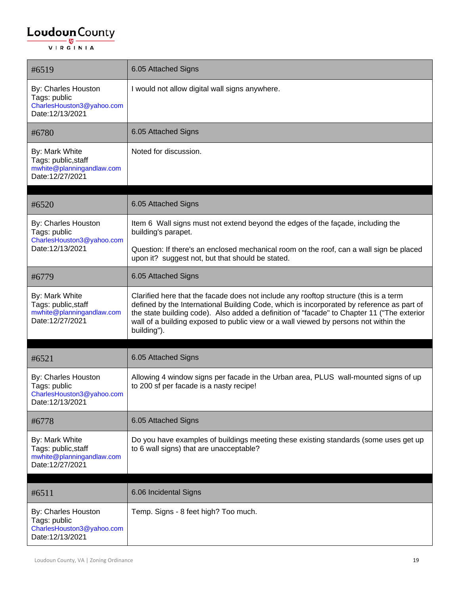#### $\underbrace{\textbf{Loudoun}\xspace}_{\text{VIR GINIA}}$

| #6519                                                                                 | 6.05 Attached Signs                                                                                                                                                                                                                                                                                                                                                                     |
|---------------------------------------------------------------------------------------|-----------------------------------------------------------------------------------------------------------------------------------------------------------------------------------------------------------------------------------------------------------------------------------------------------------------------------------------------------------------------------------------|
| By: Charles Houston<br>Tags: public<br>CharlesHouston3@yahoo.com<br>Date:12/13/2021   | I would not allow digital wall signs anywhere.                                                                                                                                                                                                                                                                                                                                          |
| #6780                                                                                 | 6.05 Attached Signs                                                                                                                                                                                                                                                                                                                                                                     |
| By: Mark White<br>Tags: public, staff<br>mwhite@planningandlaw.com<br>Date:12/27/2021 | Noted for discussion.                                                                                                                                                                                                                                                                                                                                                                   |
| #6520                                                                                 | 6.05 Attached Signs                                                                                                                                                                                                                                                                                                                                                                     |
| By: Charles Houston<br>Tags: public<br>CharlesHouston3@yahoo.com                      | Item 6 Wall signs must not extend beyond the edges of the façade, including the<br>building's parapet.                                                                                                                                                                                                                                                                                  |
| Date:12/13/2021                                                                       | Question: If there's an enclosed mechanical room on the roof, can a wall sign be placed<br>upon it? suggest not, but that should be stated.                                                                                                                                                                                                                                             |
| #6779                                                                                 | 6.05 Attached Signs                                                                                                                                                                                                                                                                                                                                                                     |
| By: Mark White<br>Tags: public, staff<br>mwhite@planningandlaw.com<br>Date:12/27/2021 | Clarified here that the facade does not include any rooftop structure (this is a term<br>defined by the International Building Code, which is incorporated by reference as part of<br>the state building code). Also added a definition of "facade" to Chapter 11 ("The exterior<br>wall of a building exposed to public view or a wall viewed by persons not within the<br>building"). |
|                                                                                       |                                                                                                                                                                                                                                                                                                                                                                                         |
| #6521                                                                                 | 6.05 Attached Signs                                                                                                                                                                                                                                                                                                                                                                     |
| By: Charles Houston<br>Tags: public<br>CharlesHouston3@yahoo.com<br>Date:12/13/2021   | Allowing 4 window signs per facade in the Urban area, PLUS wall-mounted signs of up<br>to 200 sf per facade is a nasty recipe!                                                                                                                                                                                                                                                          |
| #6778                                                                                 | 6.05 Attached Signs                                                                                                                                                                                                                                                                                                                                                                     |
| By: Mark White<br>Tags: public, staff<br>mwhite@planningandlaw.com<br>Date:12/27/2021 | Do you have examples of buildings meeting these existing standards (some uses get up<br>to 6 wall signs) that are unacceptable?                                                                                                                                                                                                                                                         |
|                                                                                       |                                                                                                                                                                                                                                                                                                                                                                                         |
| #6511                                                                                 | 6.06 Incidental Signs                                                                                                                                                                                                                                                                                                                                                                   |
| By: Charles Houston<br>Tags: public<br>CharlesHouston3@yahoo.com<br>Date:12/13/2021   | Temp. Signs - 8 feet high? Too much.                                                                                                                                                                                                                                                                                                                                                    |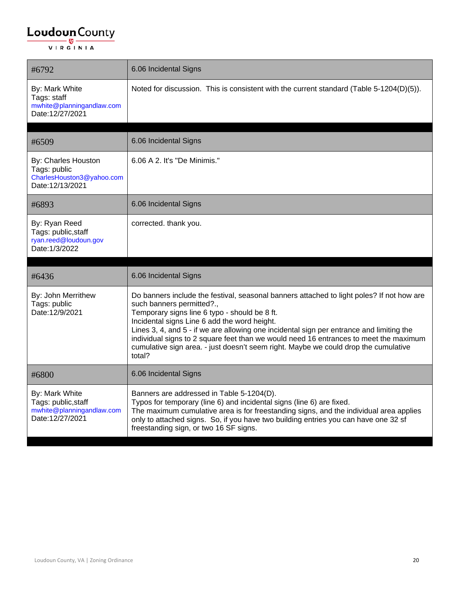| #6792                                                                                 | 6.06 Incidental Signs                                                                                                                                                                                                                                                                                                                                                                                                                                                                                         |
|---------------------------------------------------------------------------------------|---------------------------------------------------------------------------------------------------------------------------------------------------------------------------------------------------------------------------------------------------------------------------------------------------------------------------------------------------------------------------------------------------------------------------------------------------------------------------------------------------------------|
| By: Mark White<br>Tags: staff<br>mwhite@planningandlaw.com<br>Date:12/27/2021         | Noted for discussion. This is consistent with the current standard (Table 5-1204(D)(5)).                                                                                                                                                                                                                                                                                                                                                                                                                      |
| #6509                                                                                 | 6.06 Incidental Signs                                                                                                                                                                                                                                                                                                                                                                                                                                                                                         |
| By: Charles Houston<br>Tags: public<br>CharlesHouston3@yahoo.com<br>Date:12/13/2021   | 6.06 A 2. It's "De Minimis."                                                                                                                                                                                                                                                                                                                                                                                                                                                                                  |
| #6893                                                                                 | 6.06 Incidental Signs                                                                                                                                                                                                                                                                                                                                                                                                                                                                                         |
| By: Ryan Reed<br>Tags: public, staff<br>ryan.reed@loudoun.gov<br>Date: 1/3/2022       | corrected. thank you.                                                                                                                                                                                                                                                                                                                                                                                                                                                                                         |
| #6436                                                                                 | 6.06 Incidental Signs                                                                                                                                                                                                                                                                                                                                                                                                                                                                                         |
| By: John Merrithew<br>Tags: public<br>Date:12/9/2021                                  | Do banners include the festival, seasonal banners attached to light poles? If not how are<br>such banners permitted?.,<br>Temporary signs line 6 typo - should be 8 ft.<br>Incidental signs Line 6 add the word height.<br>Lines 3, 4, and 5 - if we are allowing one incidental sign per entrance and limiting the<br>individual signs to 2 square feet than we would need 16 entrances to meet the maximum<br>cumulative sign area. - just doesn't seem right. Maybe we could drop the cumulative<br>total? |
| #6800                                                                                 | 6.06 Incidental Signs                                                                                                                                                                                                                                                                                                                                                                                                                                                                                         |
| By: Mark White<br>Tags: public, staff<br>mwhite@planningandlaw.com<br>Date:12/27/2021 | Banners are addressed in Table 5-1204(D).<br>Typos for temporary (line 6) and incidental signs (line 6) are fixed.<br>The maximum cumulative area is for freestanding signs, and the individual area applies<br>only to attached signs. So, if you have two building entries you can have one 32 sf<br>freestanding sign, or two 16 SF signs.                                                                                                                                                                 |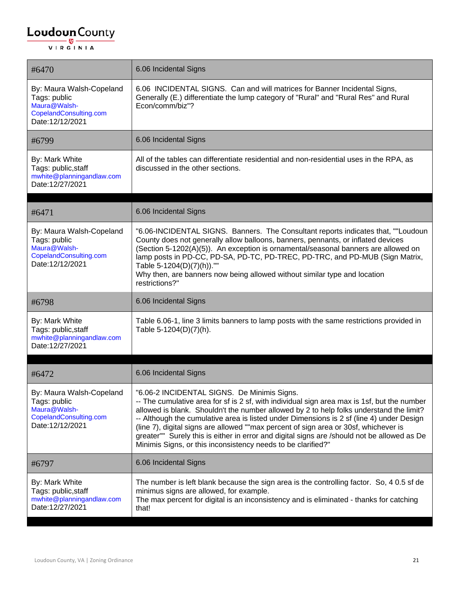| #6470                                                                                                          | 6.06 Incidental Signs                                                                                                                                                                                                                                                                                                                                                                                                                                                                                                                                                                                             |
|----------------------------------------------------------------------------------------------------------------|-------------------------------------------------------------------------------------------------------------------------------------------------------------------------------------------------------------------------------------------------------------------------------------------------------------------------------------------------------------------------------------------------------------------------------------------------------------------------------------------------------------------------------------------------------------------------------------------------------------------|
| By: Maura Walsh-Copeland<br>Tags: public<br>Maura@Walsh-<br>CopelandConsulting.com<br>Date:12/12/2021          | 6.06 INCIDENTAL SIGNS. Can and will matrices for Banner Incidental Signs,<br>Generally (E.) differentiate the lump category of "Rural" and "Rural Res" and Rural<br>Econ/comm/biz"?                                                                                                                                                                                                                                                                                                                                                                                                                               |
| #6799                                                                                                          | 6.06 Incidental Signs                                                                                                                                                                                                                                                                                                                                                                                                                                                                                                                                                                                             |
| By: Mark White<br>Tags: public, staff<br>mwhite@planningandlaw.com<br>Date:12/27/2021                          | All of the tables can differentiate residential and non-residential uses in the RPA, as<br>discussed in the other sections.                                                                                                                                                                                                                                                                                                                                                                                                                                                                                       |
| #6471                                                                                                          | 6.06 Incidental Signs                                                                                                                                                                                                                                                                                                                                                                                                                                                                                                                                                                                             |
| By: Maura Walsh-Copeland<br>Tags: public<br>Maura@Walsh-<br>CopelandConsulting.com<br>Date:12/12/2021          | "6.06-INCIDENTAL SIGNS. Banners. The Consultant reports indicates that, ""Loudoun<br>County does not generally allow balloons, banners, pennants, or inflated devices<br>(Section 5-1202(A)(5)). An exception is ornamental/seasonal banners are allowed on<br>lamp posts in PD-CC, PD-SA, PD-TC, PD-TREC, PD-TRC, and PD-MUB (Sign Matrix,<br>Table 5-1204(D)(7)(h)).""<br>Why then, are banners now being allowed without similar type and location<br>restrictions?"                                                                                                                                           |
|                                                                                                                |                                                                                                                                                                                                                                                                                                                                                                                                                                                                                                                                                                                                                   |
| #6798                                                                                                          | 6.06 Incidental Signs                                                                                                                                                                                                                                                                                                                                                                                                                                                                                                                                                                                             |
| By: Mark White<br>Tags: public, staff<br>mwhite@planningandlaw.com<br>Date:12/27/2021                          | Table 6.06-1, line 3 limits banners to lamp posts with the same restrictions provided in<br>Table 5-1204(D)(7)(h).                                                                                                                                                                                                                                                                                                                                                                                                                                                                                                |
|                                                                                                                |                                                                                                                                                                                                                                                                                                                                                                                                                                                                                                                                                                                                                   |
| #6472<br>By: Maura Walsh-Copeland<br>Tags: public<br>Maura@Walsh-<br>CopelandConsulting.com<br>Date:12/12/2021 | 6.06 Incidental Signs<br>"6.06-2 INCIDENTAL SIGNS. De Minimis Signs.<br>-- The cumulative area for sf is 2 sf, with individual sign area max is 1sf, but the number<br>allowed is blank. Shouldn't the number allowed by 2 to help folks understand the limit?<br>-- Although the cumulative area is listed under Dimensions is 2 sf (line 4) under Design<br>(line 7), digital signs are allowed ""max percent of sign area or 30sf, whichever is<br>greater"" Surely this is either in error and digital signs are /should not be allowed as De<br>Minimis Signs, or this inconsistency needs to be clarified?" |
| #6797                                                                                                          | 6.06 Incidental Signs                                                                                                                                                                                                                                                                                                                                                                                                                                                                                                                                                                                             |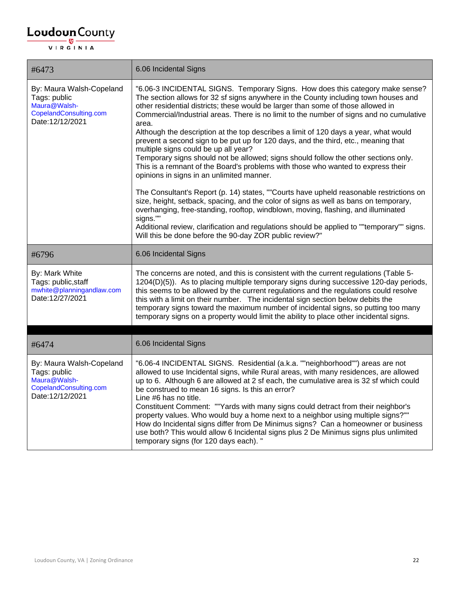| #6473                                                                                                 | 6.06 Incidental Signs                                                                                                                                                                                                                                                                                                                                                                                                                                                                                                                                                                                                                                                                                                                                                                                                                                                                                                                                                                                                                                                                                                                                                                                                                                   |
|-------------------------------------------------------------------------------------------------------|---------------------------------------------------------------------------------------------------------------------------------------------------------------------------------------------------------------------------------------------------------------------------------------------------------------------------------------------------------------------------------------------------------------------------------------------------------------------------------------------------------------------------------------------------------------------------------------------------------------------------------------------------------------------------------------------------------------------------------------------------------------------------------------------------------------------------------------------------------------------------------------------------------------------------------------------------------------------------------------------------------------------------------------------------------------------------------------------------------------------------------------------------------------------------------------------------------------------------------------------------------|
| By: Maura Walsh-Copeland<br>Tags: public<br>Maura@Walsh-<br>CopelandConsulting.com<br>Date:12/12/2021 | "6.06-3 INCIDENTAL SIGNS. Temporary Signs. How does this category make sense?<br>The section allows for 32 sf signs anywhere in the County including town houses and<br>other residential districts; these would be larger than some of those allowed in<br>Commercial/Industrial areas. There is no limit to the number of signs and no cumulative<br>area.<br>Although the description at the top describes a limit of 120 days a year, what would<br>prevent a second sign to be put up for 120 days, and the third, etc., meaning that<br>multiple signs could be up all year?<br>Temporary signs should not be allowed; signs should follow the other sections only.<br>This is a remnant of the Board's problems with those who wanted to express their<br>opinions in signs in an unlimited manner.<br>The Consultant's Report (p. 14) states, ""Courts have upheld reasonable restrictions on<br>size, height, setback, spacing, and the color of signs as well as bans on temporary,<br>overhanging, free-standing, rooftop, windblown, moving, flashing, and illuminated<br>signs.""<br>Additional review, clarification and regulations should be applied to ""temporary"" signs.<br>Will this be done before the 90-day ZOR public review?" |
| #6796                                                                                                 | 6.06 Incidental Signs                                                                                                                                                                                                                                                                                                                                                                                                                                                                                                                                                                                                                                                                                                                                                                                                                                                                                                                                                                                                                                                                                                                                                                                                                                   |
| By: Mark White<br>Tags: public, staff<br>mwhite@planningandlaw.com<br>Date:12/27/2021                 | The concerns are noted, and this is consistent with the current regulations (Table 5-<br>1204(D)(5)). As to placing multiple temporary signs during successive 120-day periods,<br>this seems to be allowed by the current regulations and the regulations could resolve<br>this with a limit on their number. The incidental sign section below debits the<br>temporary signs toward the maximum number of incidental signs, so putting too many<br>temporary signs on a property would limit the ability to place other incidental signs.                                                                                                                                                                                                                                                                                                                                                                                                                                                                                                                                                                                                                                                                                                             |
|                                                                                                       |                                                                                                                                                                                                                                                                                                                                                                                                                                                                                                                                                                                                                                                                                                                                                                                                                                                                                                                                                                                                                                                                                                                                                                                                                                                         |
| #6474                                                                                                 | 6.06 Incidental Signs                                                                                                                                                                                                                                                                                                                                                                                                                                                                                                                                                                                                                                                                                                                                                                                                                                                                                                                                                                                                                                                                                                                                                                                                                                   |
| By: Maura Walsh-Copeland<br>Tags: public<br>Maura@Walsh-<br>CopelandConsulting.com<br>Date:12/12/2021 | "6.06-4 INCIDENTAL SIGNS. Residential (a.k.a. ""neighborhood"") areas are not<br>allowed to use Incidental signs, while Rural areas, with many residences, are allowed<br>up to 6. Although 6 are allowed at 2 sf each, the cumulative area is 32 sf which could<br>be construed to mean 16 signs. Is this an error?<br>Line #6 has no title.<br>Constituent Comment: ""Yards with many signs could detract from their neighbor's<br>property values. Who would buy a home next to a neighbor using multiple signs?""<br>How do Incidental signs differ from De Minimus signs? Can a homeowner or business<br>use both? This would allow 6 Incidental signs plus 2 De Minimus signs plus unlimited<br>temporary signs (for 120 days each). "                                                                                                                                                                                                                                                                                                                                                                                                                                                                                                            |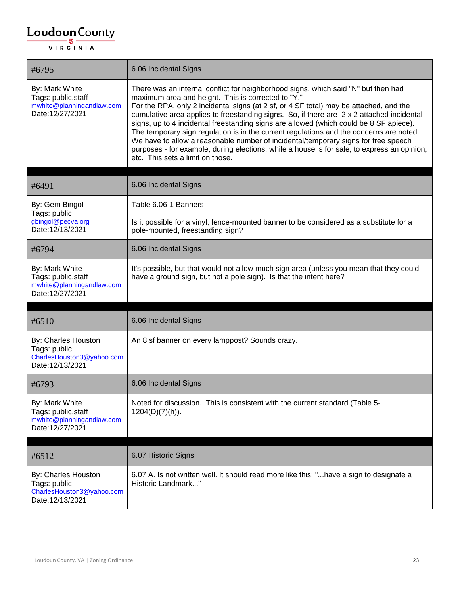| #6795                                                                                 | 6.06 Incidental Signs                                                                                                                                                                                                                                                                                                                                                                                                                                                                                                                                                                                                                                                                                                                         |
|---------------------------------------------------------------------------------------|-----------------------------------------------------------------------------------------------------------------------------------------------------------------------------------------------------------------------------------------------------------------------------------------------------------------------------------------------------------------------------------------------------------------------------------------------------------------------------------------------------------------------------------------------------------------------------------------------------------------------------------------------------------------------------------------------------------------------------------------------|
| By: Mark White<br>Tags: public, staff<br>mwhite@planningandlaw.com<br>Date:12/27/2021 | There was an internal conflict for neighborhood signs, which said "N" but then had<br>maximum area and height. This is corrected to "Y."<br>For the RPA, only 2 incidental signs (at 2 sf, or 4 SF total) may be attached, and the<br>cumulative area applies to freestanding signs. So, if there are 2 x 2 attached incidental<br>signs, up to 4 incidental freestanding signs are allowed (which could be 8 SF apiece).<br>The temporary sign regulation is in the current regulations and the concerns are noted.<br>We have to allow a reasonable number of incidental/temporary signs for free speech<br>purposes - for example, during elections, while a house is for sale, to express an opinion,<br>etc. This sets a limit on those. |
| #6491                                                                                 | 6.06 Incidental Signs                                                                                                                                                                                                                                                                                                                                                                                                                                                                                                                                                                                                                                                                                                                         |
| By: Gem Bingol                                                                        | Table 6.06-1 Banners                                                                                                                                                                                                                                                                                                                                                                                                                                                                                                                                                                                                                                                                                                                          |
| Tags: public<br>gbingol@pecva.org<br>Date:12/13/2021                                  | Is it possible for a vinyl, fence-mounted banner to be considered as a substitute for a<br>pole-mounted, freestanding sign?                                                                                                                                                                                                                                                                                                                                                                                                                                                                                                                                                                                                                   |
| #6794                                                                                 | 6.06 Incidental Signs                                                                                                                                                                                                                                                                                                                                                                                                                                                                                                                                                                                                                                                                                                                         |
| By: Mark White<br>Tags: public, staff<br>mwhite@planningandlaw.com<br>Date:12/27/2021 | It's possible, but that would not allow much sign area (unless you mean that they could<br>have a ground sign, but not a pole sign). Is that the intent here?                                                                                                                                                                                                                                                                                                                                                                                                                                                                                                                                                                                 |
|                                                                                       |                                                                                                                                                                                                                                                                                                                                                                                                                                                                                                                                                                                                                                                                                                                                               |
| #6510                                                                                 | 6.06 Incidental Signs                                                                                                                                                                                                                                                                                                                                                                                                                                                                                                                                                                                                                                                                                                                         |
| By: Charles Houston<br>Tags: public<br>CharlesHouston3@yahoo.com<br>Date:12/13/2021   | An 8 sf banner on every lamppost? Sounds crazy.                                                                                                                                                                                                                                                                                                                                                                                                                                                                                                                                                                                                                                                                                               |
| #6793                                                                                 | 6.06 Incidental Signs                                                                                                                                                                                                                                                                                                                                                                                                                                                                                                                                                                                                                                                                                                                         |
| By: Mark White<br>Tags: public, staff<br>mwhite@planningandlaw.com<br>Date:12/27/2021 | Noted for discussion. This is consistent with the current standard (Table 5-<br>1204(D)(7)(h)).                                                                                                                                                                                                                                                                                                                                                                                                                                                                                                                                                                                                                                               |
| #6512                                                                                 | 6.07 Historic Signs                                                                                                                                                                                                                                                                                                                                                                                                                                                                                                                                                                                                                                                                                                                           |
| By: Charles Houston<br>Tags: public<br>CharlesHouston3@yahoo.com<br>Date:12/13/2021   | 6.07 A. Is not written well. It should read more like this: "have a sign to designate a<br>Historic Landmark"                                                                                                                                                                                                                                                                                                                                                                                                                                                                                                                                                                                                                                 |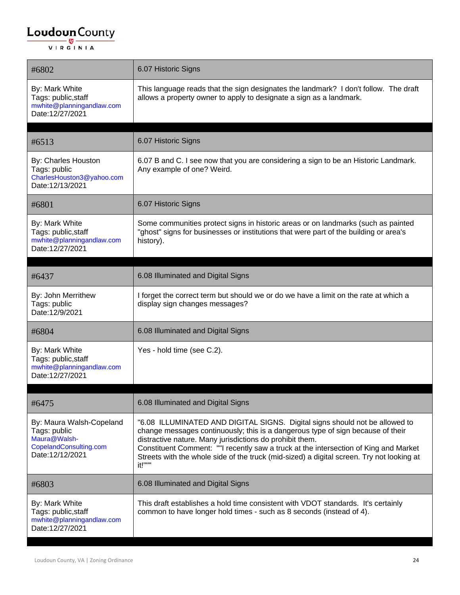#### $\underbrace{\textbf{Loudoun}\xspace}_{\text{VIR GINIA}}$

| #6802                                                                                                 | 6.07 Historic Signs                                                                                                                                                                                                                                                                                                                                                                                                       |
|-------------------------------------------------------------------------------------------------------|---------------------------------------------------------------------------------------------------------------------------------------------------------------------------------------------------------------------------------------------------------------------------------------------------------------------------------------------------------------------------------------------------------------------------|
| By: Mark White<br>Tags: public, staff<br>mwhite@planningandlaw.com<br>Date:12/27/2021                 | This language reads that the sign designates the landmark? I don't follow. The draft<br>allows a property owner to apply to designate a sign as a landmark.                                                                                                                                                                                                                                                               |
| #6513                                                                                                 | 6.07 Historic Signs                                                                                                                                                                                                                                                                                                                                                                                                       |
| By: Charles Houston<br>Tags: public<br>CharlesHouston3@yahoo.com<br>Date:12/13/2021                   | 6.07 B and C. I see now that you are considering a sign to be an Historic Landmark.<br>Any example of one? Weird.                                                                                                                                                                                                                                                                                                         |
| #6801                                                                                                 | 6.07 Historic Signs                                                                                                                                                                                                                                                                                                                                                                                                       |
| By: Mark White<br>Tags: public, staff<br>mwhite@planningandlaw.com<br>Date:12/27/2021                 | Some communities protect signs in historic areas or on landmarks (such as painted<br>"ghost" signs for businesses or institutions that were part of the building or area's<br>history).                                                                                                                                                                                                                                   |
|                                                                                                       |                                                                                                                                                                                                                                                                                                                                                                                                                           |
| #6437                                                                                                 | 6.08 Illuminated and Digital Signs                                                                                                                                                                                                                                                                                                                                                                                        |
| By: John Merrithew<br>Tags: public<br>Date:12/9/2021                                                  | I forget the correct term but should we or do we have a limit on the rate at which a<br>display sign changes messages?                                                                                                                                                                                                                                                                                                    |
| #6804                                                                                                 | 6.08 Illuminated and Digital Signs                                                                                                                                                                                                                                                                                                                                                                                        |
| By: Mark White<br>Tags: public, staff<br>mwhite@planningandlaw.com<br>Date:12/27/2021                 | Yes - hold time (see C.2).                                                                                                                                                                                                                                                                                                                                                                                                |
| #6475                                                                                                 | 6.08 Illuminated and Digital Signs                                                                                                                                                                                                                                                                                                                                                                                        |
| By: Maura Walsh-Copeland<br>Tags: public<br>Maura@Walsh-<br>CopelandConsulting.com<br>Date:12/12/2021 | "6.08 ILLUMINATED AND DIGITAL SIGNS. Digital signs should not be allowed to<br>change messages continuously; this is a dangerous type of sign because of their<br>distractive nature. Many jurisdictions do prohibit them.<br>Constituent Comment: ""I recently saw a truck at the intersection of King and Market<br>Streets with the whole side of the truck (mid-sized) a digital screen. Try not looking at<br>it!""" |
| #6803                                                                                                 | 6.08 Illuminated and Digital Signs                                                                                                                                                                                                                                                                                                                                                                                        |
| By: Mark White<br>Tags: public, staff<br>mwhite@planningandlaw.com<br>Date:12/27/2021                 | This draft establishes a hold time consistent with VDOT standards. It's certainly<br>common to have longer hold times - such as 8 seconds (instead of 4).                                                                                                                                                                                                                                                                 |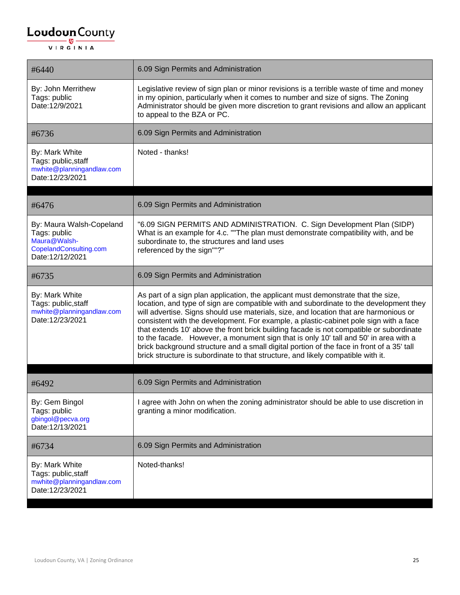| #6440                                                                                                 | 6.09 Sign Permits and Administration                                                                                                                                                                                                                                                                                                                                                                                                                                                                                                                                                                                                                                                                                              |
|-------------------------------------------------------------------------------------------------------|-----------------------------------------------------------------------------------------------------------------------------------------------------------------------------------------------------------------------------------------------------------------------------------------------------------------------------------------------------------------------------------------------------------------------------------------------------------------------------------------------------------------------------------------------------------------------------------------------------------------------------------------------------------------------------------------------------------------------------------|
| By: John Merrithew<br>Tags: public<br>Date:12/9/2021                                                  | Legislative review of sign plan or minor revisions is a terrible waste of time and money<br>in my opinion, particularly when it comes to number and size of signs. The Zoning<br>Administrator should be given more discretion to grant revisions and allow an applicant<br>to appeal to the BZA or PC.                                                                                                                                                                                                                                                                                                                                                                                                                           |
| #6736                                                                                                 | 6.09 Sign Permits and Administration                                                                                                                                                                                                                                                                                                                                                                                                                                                                                                                                                                                                                                                                                              |
| By: Mark White<br>Tags: public, staff<br>mwhite@planningandlaw.com<br>Date:12/23/2021                 | Noted - thanks!                                                                                                                                                                                                                                                                                                                                                                                                                                                                                                                                                                                                                                                                                                                   |
| #6476                                                                                                 | 6.09 Sign Permits and Administration                                                                                                                                                                                                                                                                                                                                                                                                                                                                                                                                                                                                                                                                                              |
| By: Maura Walsh-Copeland<br>Tags: public<br>Maura@Walsh-<br>CopelandConsulting.com<br>Date:12/12/2021 | "6.09 SIGN PERMITS AND ADMINISTRATION. C. Sign Development Plan (SIDP)<br>What is an example for 4.c. ""The plan must demonstrate compatibility with, and be<br>subordinate to, the structures and land uses<br>referenced by the sign""?"                                                                                                                                                                                                                                                                                                                                                                                                                                                                                        |
| #6735                                                                                                 | 6.09 Sign Permits and Administration                                                                                                                                                                                                                                                                                                                                                                                                                                                                                                                                                                                                                                                                                              |
| By: Mark White<br>Tags: public, staff<br>mwhite@planningandlaw.com<br>Date:12/23/2021                 | As part of a sign plan application, the applicant must demonstrate that the size,<br>location, and type of sign are compatible with and subordinate to the development they<br>will advertise. Signs should use materials, size, and location that are harmonious or<br>consistent with the development. For example, a plastic-cabinet pole sign with a face<br>that extends 10' above the front brick building facade is not compatible or subordinate<br>to the facade. However, a monument sign that is only 10' tall and 50' in area with a<br>brick background structure and a small digital portion of the face in front of a 35' tall<br>brick structure is subordinate to that structure, and likely compatible with it. |
| #6492                                                                                                 | 6.09 Sign Permits and Administration                                                                                                                                                                                                                                                                                                                                                                                                                                                                                                                                                                                                                                                                                              |
| By: Gem Bingol<br>Tags: public<br>gbingol@pecva.org<br>Date:12/13/2021                                | I agree with John on when the zoning administrator should be able to use discretion in<br>granting a minor modification.                                                                                                                                                                                                                                                                                                                                                                                                                                                                                                                                                                                                          |
| #6734                                                                                                 | 6.09 Sign Permits and Administration                                                                                                                                                                                                                                                                                                                                                                                                                                                                                                                                                                                                                                                                                              |
| By: Mark White<br>Tags: public, staff<br>mwhite@planningandlaw.com<br>Date:12/23/2021                 | Noted-thanks!                                                                                                                                                                                                                                                                                                                                                                                                                                                                                                                                                                                                                                                                                                                     |